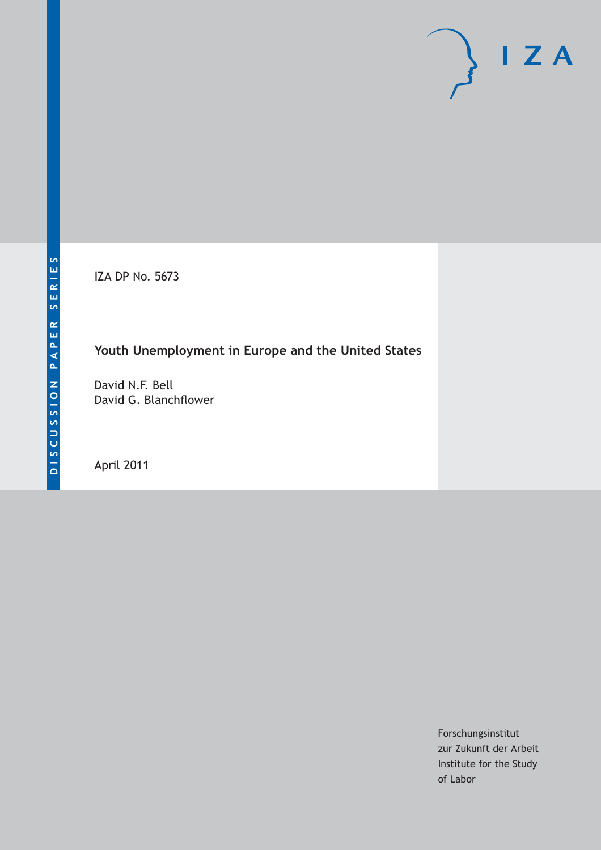IZA DP No. 5673

# **Youth Unemployment in Europe and the United States**

David N.F. Bell David G. Blanchflower

April 2011

Forschungsinstitut zur Zukunft der Arbeit Institute for the Study of Labor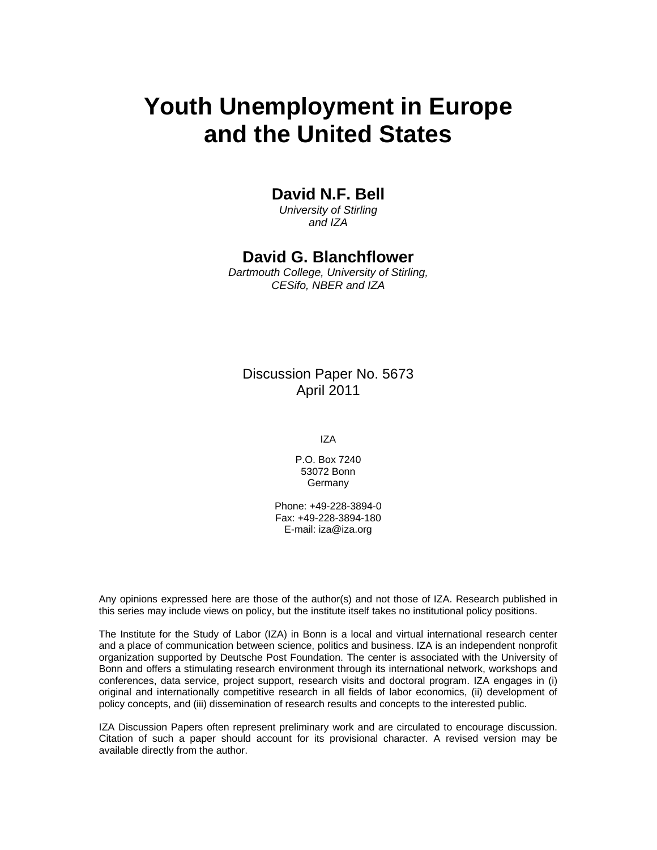# **Youth Unemployment in Europe and the United States**

### **David N.F. Bell**

*University of Stirling and IZA* 

### **David G. Blanchflower**

*Dartmouth College, University of Stirling, CESifo, NBER and IZA* 

### Discussion Paper No. 5673 April 2011

IZA

P.O. Box 7240 53072 Bonn **Germany** 

Phone: +49-228-3894-0 Fax: +49-228-3894-180 E-mail: iza@iza.org

Any opinions expressed here are those of the author(s) and not those of IZA. Research published in this series may include views on policy, but the institute itself takes no institutional policy positions.

The Institute for the Study of Labor (IZA) in Bonn is a local and virtual international research center and a place of communication between science, politics and business. IZA is an independent nonprofit organization supported by Deutsche Post Foundation. The center is associated with the University of Bonn and offers a stimulating research environment through its international network, workshops and conferences, data service, project support, research visits and doctoral program. IZA engages in (i) original and internationally competitive research in all fields of labor economics, (ii) development of policy concepts, and (iii) dissemination of research results and concepts to the interested public.

IZA Discussion Papers often represent preliminary work and are circulated to encourage discussion. Citation of such a paper should account for its provisional character. A revised version may be available directly from the author.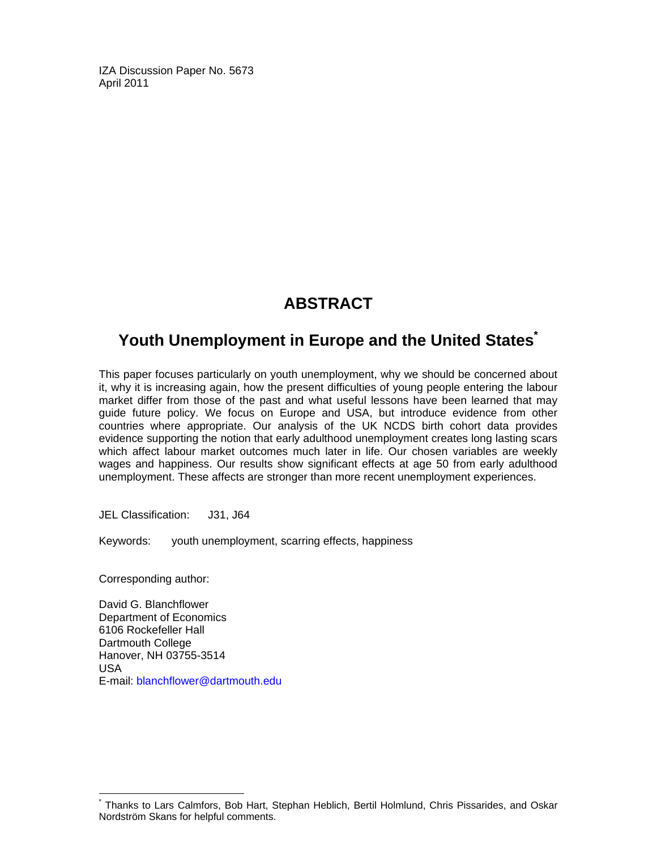IZA Discussion Paper No. 5673 April 2011

# **ABSTRACT**

## **Youth Unemployment in Europe and the United States\***

This paper focuses particularly on youth unemployment, why we should be concerned about it, why it is increasing again, how the present difficulties of young people entering the labour market differ from those of the past and what useful lessons have been learned that may guide future policy. We focus on Europe and USA, but introduce evidence from other countries where appropriate. Our analysis of the UK NCDS birth cohort data provides evidence supporting the notion that early adulthood unemployment creates long lasting scars which affect labour market outcomes much later in life. Our chosen variables are weekly wages and happiness. Our results show significant effects at age 50 from early adulthood unemployment. These affects are stronger than more recent unemployment experiences.

JEL Classification: J31, J64

Keywords: youth unemployment, scarring effects, happiness

Corresponding author:

-

David G. Blanchflower Department of Economics 6106 Rockefeller Hall Dartmouth College Hanover, NH 03755-3514 USA E-mail: blanchflower@dartmouth.edu

<sup>\*</sup> Thanks to Lars Calmfors, Bob Hart, Stephan Heblich, Bertil Holmlund, Chris Pissarides, and Oskar Nordström Skans for helpful comments.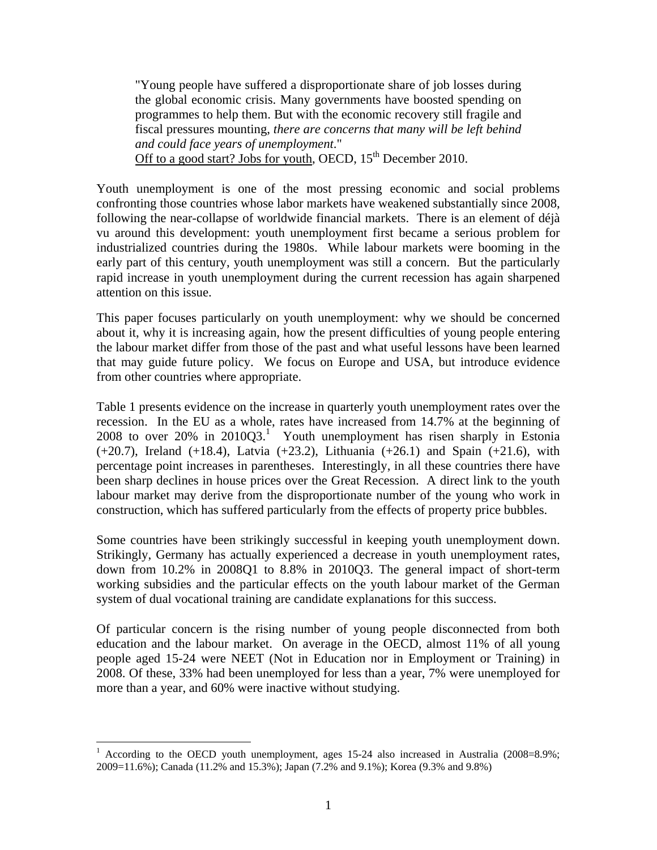"Young people have suffered a disproportionate share of job losses during the global economic crisis. Many governments have boosted spending on programmes to help them. But with the economic recovery still fragile and fiscal pressures mounting, *there are concerns that many will be left behind and could face years of unemployment*." Off to a good start? Jobs for youth, OECD,  $15<sup>th</sup>$  December 2010.

Youth unemployment is one of the most pressing economic and social problems confronting those countries whose labor markets have weakened substantially since 2008, following the near-collapse of worldwide financial markets. There is an element of déjà vu around this development: youth unemployment first became a serious problem for industrialized countries during the 1980s. While labour markets were booming in the early part of this century, youth unemployment was still a concern. But the particularly rapid increase in youth unemployment during the current recession has again sharpened attention on this issue.

This paper focuses particularly on youth unemployment: why we should be concerned about it, why it is increasing again, how the present difficulties of young people entering the labour market differ from those of the past and what useful lessons have been learned that may guide future policy. We focus on Europe and USA, but introduce evidence from other countries where appropriate.

Table 1 presents evidence on the increase in quarterly youth unemployment rates over the recession. In the EU as a whole, rates have increased from 14.7% at the beginning of 2008 to over  $20\%$  in  $2010Q3$ .<sup>1</sup> Youth unemployment has risen sharply in Estonia  $(+20.7)$ , Ireland  $(+18.4)$ , Latvia  $(+23.2)$ , Lithuania  $(+26.1)$  and Spain  $(+21.6)$ , with percentage point increases in parentheses. Interestingly, in all these countries there have been sharp declines in house prices over the Great Recession. A direct link to the youth labour market may derive from the disproportionate number of the young who work in construction, which has suffered particularly from the effects of property price bubbles.

Some countries have been strikingly successful in keeping youth unemployment down. Strikingly, Germany has actually experienced a decrease in youth unemployment rates, down from 10.2% in 2008Q1 to 8.8% in 2010Q3. The general impact of short-term working subsidies and the particular effects on the youth labour market of the German system of dual vocational training are candidate explanations for this success.

Of particular concern is the rising number of young people disconnected from both education and the labour market. On average in the OECD, almost 11% of all young people aged 15-24 were NEET (Not in Education nor in Employment or Training) in 2008. Of these, 33% had been unemployed for less than a year, 7% were unemployed for more than a year, and 60% were inactive without studying.

 $\overline{a}$ 

<sup>1</sup> According to the OECD youth unemployment, ages 15-24 also increased in Australia (2008=8.9%; 2009=11.6%); Canada (11.2% and 15.3%); Japan (7.2% and 9.1%); Korea (9.3% and 9.8%)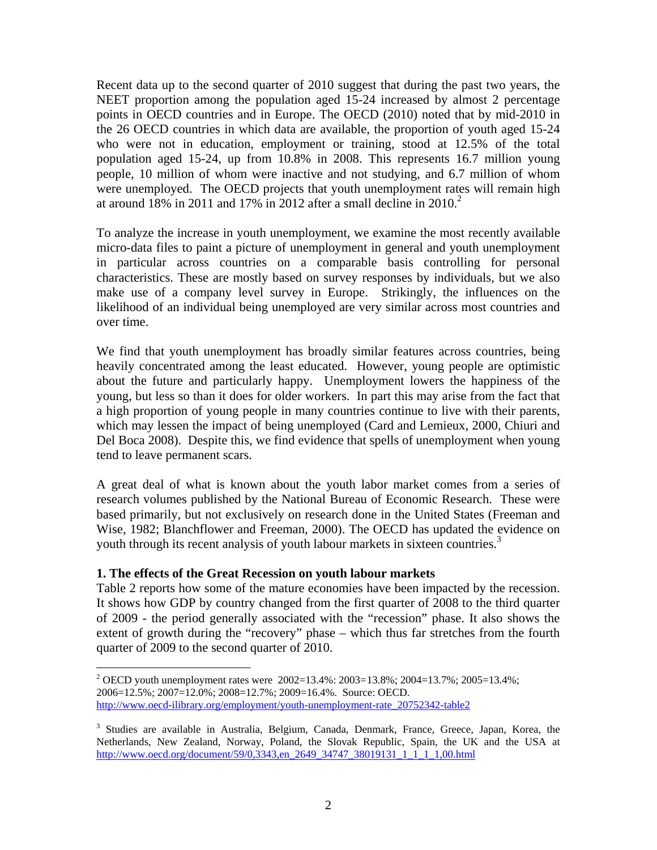Recent data up to the second quarter of 2010 suggest that during the past two years, the NEET proportion among the population aged 15-24 increased by almost 2 percentage points in OECD countries and in Europe. The OECD (2010) noted that by mid-2010 in the 26 OECD countries in which data are available, the proportion of youth aged 15-24 who were not in education, employment or training, stood at 12.5% of the total population aged 15-24, up from 10.8% in 2008. This represents 16.7 million young people, 10 million of whom were inactive and not studying, and 6.7 million of whom were unemployed. The OECD projects that youth unemployment rates will remain high at around  $18\%$  in 2011 and 17% in 2012 after a small decline in 2010.<sup>2</sup>

To analyze the increase in youth unemployment, we examine the most recently available micro-data files to paint a picture of unemployment in general and youth unemployment in particular across countries on a comparable basis controlling for personal characteristics. These are mostly based on survey responses by individuals, but we also make use of a company level survey in Europe. Strikingly, the influences on the likelihood of an individual being unemployed are very similar across most countries and over time.

We find that youth unemployment has broadly similar features across countries, being heavily concentrated among the least educated. However, young people are optimistic about the future and particularly happy. Unemployment lowers the happiness of the young, but less so than it does for older workers. In part this may arise from the fact that a high proportion of young people in many countries continue to live with their parents, which may lessen the impact of being unemployed (Card and Lemieux, 2000, Chiuri and Del Boca 2008). Despite this, we find evidence that spells of unemployment when young tend to leave permanent scars.

A great deal of what is known about the youth labor market comes from a series of research volumes published by the National Bureau of Economic Research. These were based primarily, but not exclusively on research done in the United States (Freeman and Wise, 1982; Blanchflower and Freeman, 2000). The OECD has updated the evidence on youth through its recent analysis of youth labour markets in sixteen countries.<sup>3</sup>

#### **1. The effects of the Great Recession on youth labour markets**

 $\overline{a}$ 

Table 2 reports how some of the mature economies have been impacted by the recession. It shows how GDP by country changed from the first quarter of 2008 to the third quarter of 2009 - the period generally associated with the "recession" phase. It also shows the extent of growth during the "recovery" phase – which thus far stretches from the fourth quarter of 2009 to the second quarter of 2010.

<sup>&</sup>lt;sup>2</sup> OECD youth unemployment rates were 2002=13.4%: 2003=13.8%; 2004=13.7%; 2005=13.4%; 2006=12.5%; 2007=12.0%; 2008=12.7%; 2009=16.4%. Source: OECD. http://www.oecd-ilibrary.org/employment/youth-unemployment-rate\_20752342-table2

<sup>&</sup>lt;sup>3</sup> Studies are available in Australia, Belgium, Canada, Denmark, France, Greece, Japan, Korea, the Netherlands, New Zealand, Norway, Poland, the Slovak Republic, Spain, the UK and the USA at http://www.oecd.org/document/59/0,3343,en\_2649\_34747\_38019131\_1\_1\_1\_1,00.html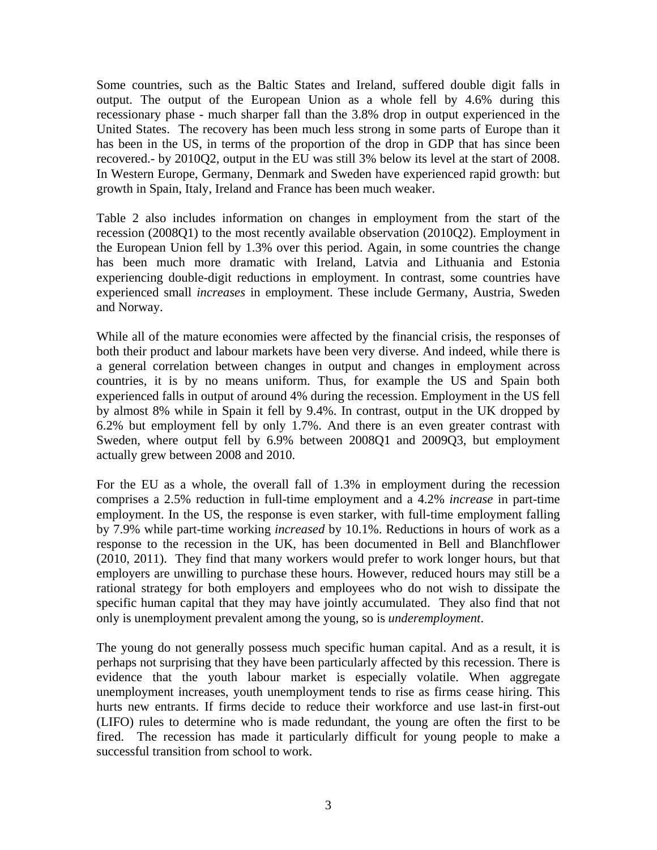Some countries, such as the Baltic States and Ireland, suffered double digit falls in output. The output of the European Union as a whole fell by 4.6% during this recessionary phase - much sharper fall than the 3.8% drop in output experienced in the United States. The recovery has been much less strong in some parts of Europe than it has been in the US, in terms of the proportion of the drop in GDP that has since been recovered.- by 2010Q2, output in the EU was still 3% below its level at the start of 2008. In Western Europe, Germany, Denmark and Sweden have experienced rapid growth: but growth in Spain, Italy, Ireland and France has been much weaker.

Table 2 also includes information on changes in employment from the start of the recession (2008Q1) to the most recently available observation (2010Q2). Employment in the European Union fell by 1.3% over this period. Again, in some countries the change has been much more dramatic with Ireland, Latvia and Lithuania and Estonia experiencing double-digit reductions in employment. In contrast, some countries have experienced small *increases* in employment. These include Germany, Austria, Sweden and Norway.

While all of the mature economies were affected by the financial crisis, the responses of both their product and labour markets have been very diverse. And indeed, while there is a general correlation between changes in output and changes in employment across countries, it is by no means uniform. Thus, for example the US and Spain both experienced falls in output of around 4% during the recession. Employment in the US fell by almost 8% while in Spain it fell by 9.4%. In contrast, output in the UK dropped by 6.2% but employment fell by only 1.7%. And there is an even greater contrast with Sweden, where output fell by 6.9% between 2008Q1 and 2009Q3, but employment actually grew between 2008 and 2010.

For the EU as a whole, the overall fall of 1.3% in employment during the recession comprises a 2.5% reduction in full-time employment and a 4.2% *increase* in part-time employment. In the US, the response is even starker, with full-time employment falling by 7.9% while part-time working *increased* by 10.1%. Reductions in hours of work as a response to the recession in the UK, has been documented in Bell and Blanchflower (2010, 2011). They find that many workers would prefer to work longer hours, but that employers are unwilling to purchase these hours. However, reduced hours may still be a rational strategy for both employers and employees who do not wish to dissipate the specific human capital that they may have jointly accumulated. They also find that not only is unemployment prevalent among the young, so is *underemployment*.

The young do not generally possess much specific human capital. And as a result, it is perhaps not surprising that they have been particularly affected by this recession. There is evidence that the youth labour market is especially volatile. When aggregate unemployment increases, youth unemployment tends to rise as firms cease hiring. This hurts new entrants. If firms decide to reduce their workforce and use last-in first-out (LIFO) rules to determine who is made redundant, the young are often the first to be fired. The recession has made it particularly difficult for young people to make a successful transition from school to work.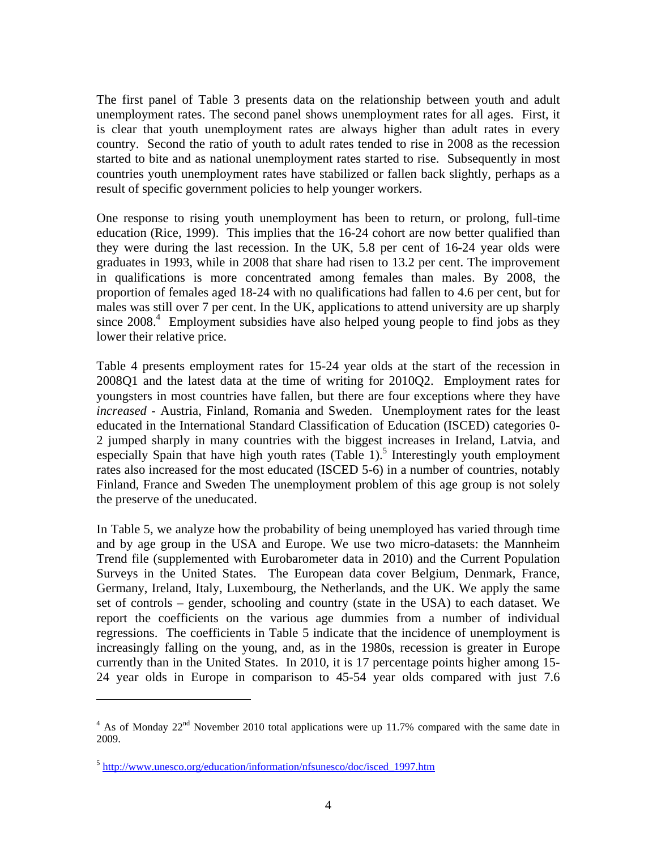The first panel of Table 3 presents data on the relationship between youth and adult unemployment rates. The second panel shows unemployment rates for all ages. First, it is clear that youth unemployment rates are always higher than adult rates in every country. Second the ratio of youth to adult rates tended to rise in 2008 as the recession started to bite and as national unemployment rates started to rise. Subsequently in most countries youth unemployment rates have stabilized or fallen back slightly, perhaps as a result of specific government policies to help younger workers.

One response to rising youth unemployment has been to return, or prolong, full-time education (Rice, 1999). This implies that the 16-24 cohort are now better qualified than they were during the last recession. In the UK, 5.8 per cent of 16-24 year olds were graduates in 1993, while in 2008 that share had risen to 13.2 per cent. The improvement in qualifications is more concentrated among females than males. By 2008, the proportion of females aged 18-24 with no qualifications had fallen to 4.6 per cent, but for males was still over 7 per cent. In the UK, applications to attend university are up sharply since 2008.<sup>4</sup> Employment subsidies have also helped young people to find jobs as they lower their relative price.

Table 4 presents employment rates for 15-24 year olds at the start of the recession in 2008Q1 and the latest data at the time of writing for 2010Q2. Employment rates for youngsters in most countries have fallen, but there are four exceptions where they have *increased* - Austria, Finland, Romania and Sweden. Unemployment rates for the least educated in the International Standard Classification of Education (ISCED) categories 0- 2 jumped sharply in many countries with the biggest increases in Ireland, Latvia, and especially Spain that have high youth rates  $(Table 1)$ .<sup>5</sup> Interestingly youth employment rates also increased for the most educated (ISCED 5-6) in a number of countries, notably Finland, France and Sweden The unemployment problem of this age group is not solely the preserve of the uneducated.

In Table 5, we analyze how the probability of being unemployed has varied through time and by age group in the USA and Europe. We use two micro-datasets: the Mannheim Trend file (supplemented with Eurobarometer data in 2010) and the Current Population Surveys in the United States. The European data cover Belgium, Denmark, France, Germany, Ireland, Italy, Luxembourg, the Netherlands, and the UK. We apply the same set of controls – gender, schooling and country (state in the USA) to each dataset. We report the coefficients on the various age dummies from a number of individual regressions. The coefficients in Table 5 indicate that the incidence of unemployment is increasingly falling on the young, and, as in the 1980s, recession is greater in Europe currently than in the United States. In 2010, it is 17 percentage points higher among 15- 24 year olds in Europe in comparison to 45-54 year olds compared with just 7.6

 $\overline{a}$ 

 $4$  As of Monday 22<sup>nd</sup> November 2010 total applications were up 11.7% compared with the same date in 2009.

<sup>5</sup> http://www.unesco.org/education/information/nfsunesco/doc/isced\_1997.htm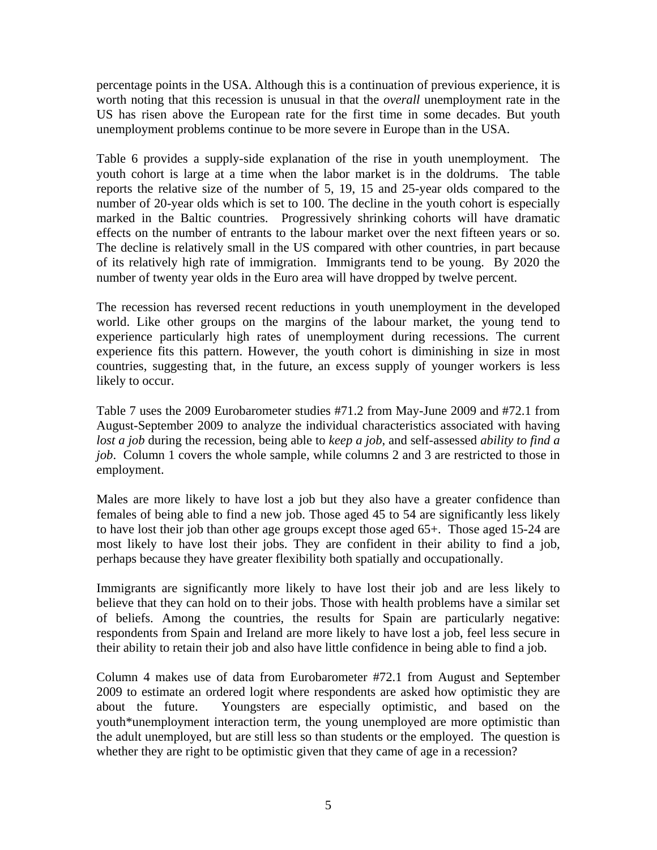percentage points in the USA. Although this is a continuation of previous experience, it is worth noting that this recession is unusual in that the *overall* unemployment rate in the US has risen above the European rate for the first time in some decades. But youth unemployment problems continue to be more severe in Europe than in the USA.

Table 6 provides a supply-side explanation of the rise in youth unemployment. The youth cohort is large at a time when the labor market is in the doldrums. The table reports the relative size of the number of 5, 19, 15 and 25-year olds compared to the number of 20-year olds which is set to 100. The decline in the youth cohort is especially marked in the Baltic countries. Progressively shrinking cohorts will have dramatic effects on the number of entrants to the labour market over the next fifteen years or so. The decline is relatively small in the US compared with other countries, in part because of its relatively high rate of immigration. Immigrants tend to be young. By 2020 the number of twenty year olds in the Euro area will have dropped by twelve percent.

The recession has reversed recent reductions in youth unemployment in the developed world. Like other groups on the margins of the labour market, the young tend to experience particularly high rates of unemployment during recessions. The current experience fits this pattern. However, the youth cohort is diminishing in size in most countries, suggesting that, in the future, an excess supply of younger workers is less likely to occur.

Table 7 uses the 2009 Eurobarometer studies #71.2 from May-June 2009 and #72.1 from August-September 2009 to analyze the individual characteristics associated with having *lost a job* during the recession, being able to *keep a job*, and self-assessed *ability to find a job*. Column 1 covers the whole sample, while columns 2 and 3 are restricted to those in employment.

Males are more likely to have lost a job but they also have a greater confidence than females of being able to find a new job. Those aged 45 to 54 are significantly less likely to have lost their job than other age groups except those aged 65+. Those aged 15-24 are most likely to have lost their jobs. They are confident in their ability to find a job, perhaps because they have greater flexibility both spatially and occupationally.

Immigrants are significantly more likely to have lost their job and are less likely to believe that they can hold on to their jobs. Those with health problems have a similar set of beliefs. Among the countries, the results for Spain are particularly negative: respondents from Spain and Ireland are more likely to have lost a job, feel less secure in their ability to retain their job and also have little confidence in being able to find a job.

Column 4 makes use of data from Eurobarometer #72.1 from August and September 2009 to estimate an ordered logit where respondents are asked how optimistic they are about the future. Youngsters are especially optimistic, and based on the youth\*unemployment interaction term, the young unemployed are more optimistic than the adult unemployed, but are still less so than students or the employed. The question is whether they are right to be optimistic given that they came of age in a recession?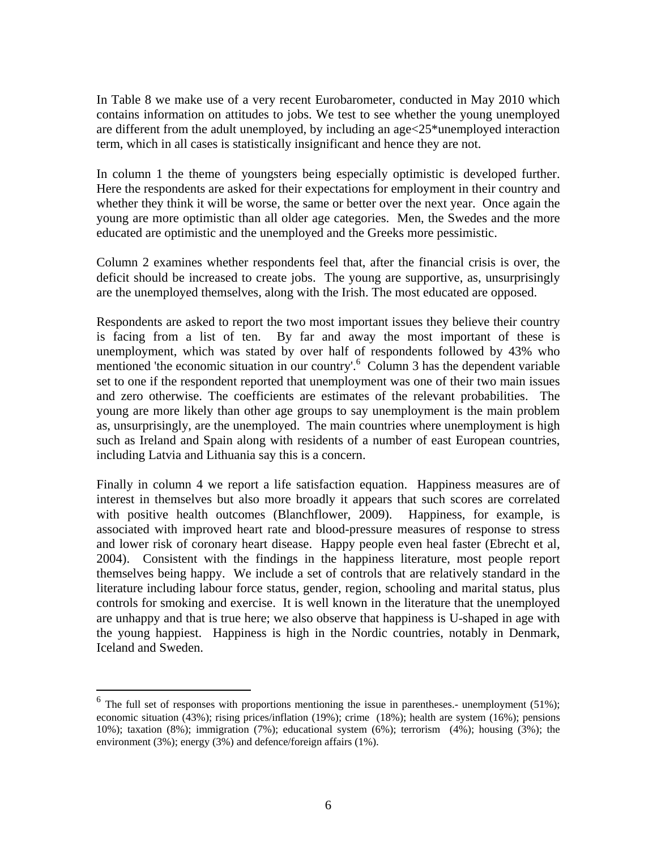In Table 8 we make use of a very recent Eurobarometer, conducted in May 2010 which contains information on attitudes to jobs. We test to see whether the young unemployed are different from the adult unemployed, by including an  $age < 25*$  unemployed interaction term, which in all cases is statistically insignificant and hence they are not.

In column 1 the theme of youngsters being especially optimistic is developed further. Here the respondents are asked for their expectations for employment in their country and whether they think it will be worse, the same or better over the next year. Once again the young are more optimistic than all older age categories. Men, the Swedes and the more educated are optimistic and the unemployed and the Greeks more pessimistic.

Column 2 examines whether respondents feel that, after the financial crisis is over, the deficit should be increased to create jobs. The young are supportive, as, unsurprisingly are the unemployed themselves, along with the Irish. The most educated are opposed.

Respondents are asked to report the two most important issues they believe their country is facing from a list of ten. By far and away the most important of these is unemployment, which was stated by over half of respondents followed by 43% who mentioned 'the economic situation in our country'.<sup>6</sup> Column 3 has the dependent variable set to one if the respondent reported that unemployment was one of their two main issues and zero otherwise. The coefficients are estimates of the relevant probabilities. The young are more likely than other age groups to say unemployment is the main problem as, unsurprisingly, are the unemployed. The main countries where unemployment is high such as Ireland and Spain along with residents of a number of east European countries, including Latvia and Lithuania say this is a concern.

Finally in column 4 we report a life satisfaction equation. Happiness measures are of interest in themselves but also more broadly it appears that such scores are correlated with positive health outcomes (Blanchflower, 2009). Happiness, for example, is associated with improved heart rate and blood-pressure measures of response to stress and lower risk of coronary heart disease. Happy people even heal faster (Ebrecht et al, 2004). Consistent with the findings in the happiness literature, most people report themselves being happy. We include a set of controls that are relatively standard in the literature including labour force status, gender, region, schooling and marital status, plus controls for smoking and exercise. It is well known in the literature that the unemployed are unhappy and that is true here; we also observe that happiness is U-shaped in age with the young happiest. Happiness is high in the Nordic countries, notably in Denmark, Iceland and Sweden.

 $\overline{a}$ 

 $6$  The full set of responses with proportions mentioning the issue in parentheses.- unemployment (51%); economic situation (43%); rising prices/inflation (19%); crime (18%); health are system (16%); pensions 10%); taxation (8%); immigration (7%); educational system (6%); terrorism (4%); housing (3%); the environment (3%); energy (3%) and defence/foreign affairs (1%).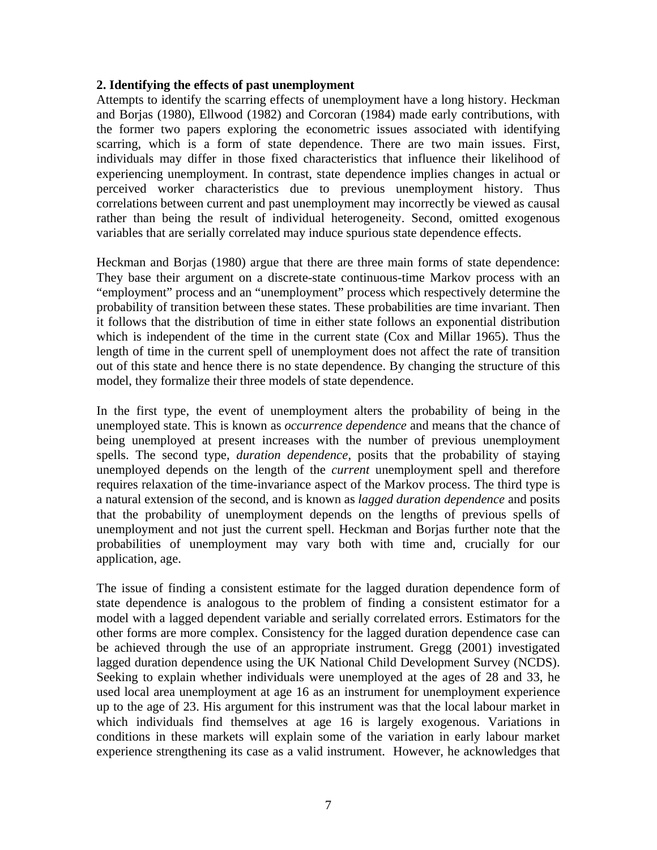#### **2. Identifying the effects of past unemployment**

Attempts to identify the scarring effects of unemployment have a long history. Heckman and Borjas (1980), Ellwood (1982) and Corcoran (1984) made early contributions, with the former two papers exploring the econometric issues associated with identifying scarring, which is a form of state dependence. There are two main issues. First, individuals may differ in those fixed characteristics that influence their likelihood of experiencing unemployment. In contrast, state dependence implies changes in actual or perceived worker characteristics due to previous unemployment history. Thus correlations between current and past unemployment may incorrectly be viewed as causal rather than being the result of individual heterogeneity. Second, omitted exogenous variables that are serially correlated may induce spurious state dependence effects.

Heckman and Borjas (1980) argue that there are three main forms of state dependence: They base their argument on a discrete-state continuous-time Markov process with an "employment" process and an "unemployment" process which respectively determine the probability of transition between these states. These probabilities are time invariant. Then it follows that the distribution of time in either state follows an exponential distribution which is independent of the time in the current state (Cox and Millar 1965). Thus the length of time in the current spell of unemployment does not affect the rate of transition out of this state and hence there is no state dependence. By changing the structure of this model, they formalize their three models of state dependence.

In the first type, the event of unemployment alters the probability of being in the unemployed state. This is known as *occurrence dependence* and means that the chance of being unemployed at present increases with the number of previous unemployment spells. The second type, *duration dependence*, posits that the probability of staying unemployed depends on the length of the *current* unemployment spell and therefore requires relaxation of the time-invariance aspect of the Markov process. The third type is a natural extension of the second, and is known as *lagged duration dependence* and posits that the probability of unemployment depends on the lengths of previous spells of unemployment and not just the current spell. Heckman and Borjas further note that the probabilities of unemployment may vary both with time and, crucially for our application, age.

The issue of finding a consistent estimate for the lagged duration dependence form of state dependence is analogous to the problem of finding a consistent estimator for a model with a lagged dependent variable and serially correlated errors. Estimators for the other forms are more complex. Consistency for the lagged duration dependence case can be achieved through the use of an appropriate instrument. Gregg (2001) investigated lagged duration dependence using the UK National Child Development Survey (NCDS). Seeking to explain whether individuals were unemployed at the ages of 28 and 33, he used local area unemployment at age 16 as an instrument for unemployment experience up to the age of 23. His argument for this instrument was that the local labour market in which individuals find themselves at age 16 is largely exogenous. Variations in conditions in these markets will explain some of the variation in early labour market experience strengthening its case as a valid instrument. However, he acknowledges that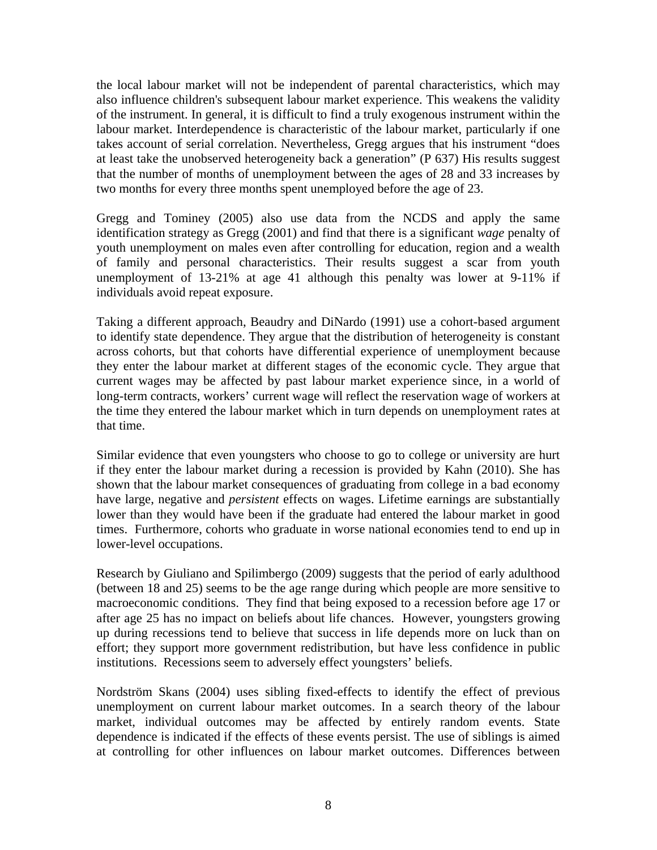the local labour market will not be independent of parental characteristics, which may also influence children's subsequent labour market experience. This weakens the validity of the instrument. In general, it is difficult to find a truly exogenous instrument within the labour market. Interdependence is characteristic of the labour market, particularly if one takes account of serial correlation. Nevertheless, Gregg argues that his instrument "does at least take the unobserved heterogeneity back a generation" (P 637) His results suggest that the number of months of unemployment between the ages of 28 and 33 increases by two months for every three months spent unemployed before the age of 23.

Gregg and Tominey (2005) also use data from the NCDS and apply the same identification strategy as Gregg (2001) and find that there is a significant *wage* penalty of youth unemployment on males even after controlling for education, region and a wealth of family and personal characteristics. Their results suggest a scar from youth unemployment of 13-21% at age 41 although this penalty was lower at 9-11% if individuals avoid repeat exposure.

Taking a different approach, Beaudry and DiNardo (1991) use a cohort-based argument to identify state dependence. They argue that the distribution of heterogeneity is constant across cohorts, but that cohorts have differential experience of unemployment because they enter the labour market at different stages of the economic cycle. They argue that current wages may be affected by past labour market experience since, in a world of long-term contracts, workers' current wage will reflect the reservation wage of workers at the time they entered the labour market which in turn depends on unemployment rates at that time.

Similar evidence that even youngsters who choose to go to college or university are hurt if they enter the labour market during a recession is provided by Kahn (2010). She has shown that the labour market consequences of graduating from college in a bad economy have large, negative and *persistent* effects on wages. Lifetime earnings are substantially lower than they would have been if the graduate had entered the labour market in good times. Furthermore, cohorts who graduate in worse national economies tend to end up in lower-level occupations.

Research by Giuliano and Spilimbergo (2009) suggests that the period of early adulthood (between 18 and 25) seems to be the age range during which people are more sensitive to macroeconomic conditions. They find that being exposed to a recession before age 17 or after age 25 has no impact on beliefs about life chances. However, youngsters growing up during recessions tend to believe that success in life depends more on luck than on effort; they support more government redistribution, but have less confidence in public institutions. Recessions seem to adversely effect youngsters' beliefs.

Nordström Skans (2004) uses sibling fixed-effects to identify the effect of previous unemployment on current labour market outcomes. In a search theory of the labour market, individual outcomes may be affected by entirely random events. State dependence is indicated if the effects of these events persist. The use of siblings is aimed at controlling for other influences on labour market outcomes. Differences between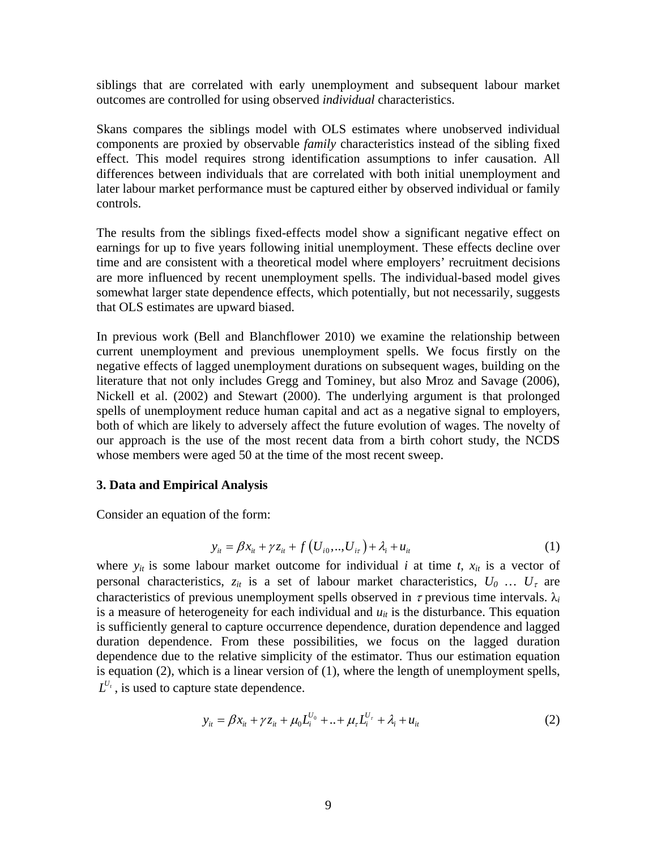siblings that are correlated with early unemployment and subsequent labour market outcomes are controlled for using observed *individual* characteristics.

Skans compares the siblings model with OLS estimates where unobserved individual components are proxied by observable *family* characteristics instead of the sibling fixed effect. This model requires strong identification assumptions to infer causation. All differences between individuals that are correlated with both initial unemployment and later labour market performance must be captured either by observed individual or family controls.

The results from the siblings fixed-effects model show a significant negative effect on earnings for up to five years following initial unemployment. These effects decline over time and are consistent with a theoretical model where employers' recruitment decisions are more influenced by recent unemployment spells. The individual-based model gives somewhat larger state dependence effects, which potentially, but not necessarily, suggests that OLS estimates are upward biased.

In previous work (Bell and Blanchflower 2010) we examine the relationship between current unemployment and previous unemployment spells. We focus firstly on the negative effects of lagged unemployment durations on subsequent wages, building on the literature that not only includes Gregg and Tominey, but also Mroz and Savage (2006), Nickell et al. (2002) and Stewart (2000). The underlying argument is that prolonged spells of unemployment reduce human capital and act as a negative signal to employers, both of which are likely to adversely affect the future evolution of wages. The novelty of our approach is the use of the most recent data from a birth cohort study, the NCDS whose members were aged 50 at the time of the most recent sweep.

#### **3. Data and Empirical Analysis**

Consider an equation of the form:

$$
y_{it} = \beta x_{it} + \gamma z_{it} + f(U_{i0},...,U_{it}) + \lambda_i + u_{it}
$$
 (1)

where  $y_{it}$  is some labour market outcome for individual *i* at time *t*,  $x_{it}$  is a vector of personal characteristics,  $z_{it}$  is a set of labour market characteristics,  $U_0$  ...  $U_{\tau}$  are characteristics of previous unemployment spells observed in  $\tau$  previous time intervals.  $\lambda_i$ is a measure of heterogeneity for each individual and  $u_{it}$  is the disturbance. This equation is sufficiently general to capture occurrence dependence, duration dependence and lagged duration dependence. From these possibilities, we focus on the lagged duration dependence due to the relative simplicity of the estimator. Thus our estimation equation is equation (2), which is a linear version of (1), where the length of unemployment spells,  $L^{U_t}$ , is used to capture state dependence.

$$
y_{it} = \beta x_{it} + \gamma z_{it} + \mu_0 L_i^{U_0} + ... + \mu_r L_i^{U_r} + \lambda_i + u_{it}
$$
 (2)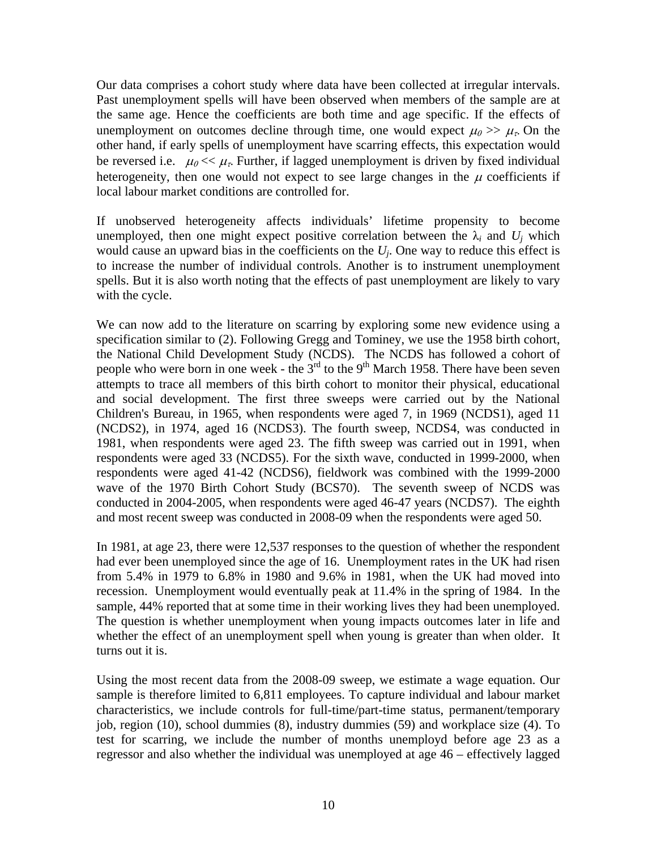Our data comprises a cohort study where data have been collected at irregular intervals. Past unemployment spells will have been observed when members of the sample are at the same age. Hence the coefficients are both time and age specific. If the effects of unemployment on outcomes decline through time, one would expect  $\mu_0 \gg \mu_{\tau}$ . On the other hand, if early spells of unemployment have scarring effects, this expectation would be reversed i.e.  $\mu_0 \ll \mu_{\tau}$ . Further, if lagged unemployment is driven by fixed individual heterogeneity, then one would not expect to see large changes in the  $\mu$  coefficients if local labour market conditions are controlled for.

If unobserved heterogeneity affects individuals' lifetime propensity to become unemployed, then one might expect positive correlation between the  $\lambda_i$  and  $U_i$  which would cause an upward bias in the coefficients on the *Uj*. One way to reduce this effect is to increase the number of individual controls. Another is to instrument unemployment spells. But it is also worth noting that the effects of past unemployment are likely to vary with the cycle.

We can now add to the literature on scarring by exploring some new evidence using a specification similar to (2). Following Gregg and Tominey, we use the 1958 birth cohort, the National Child Development Study (NCDS). The NCDS has followed a cohort of people who were born in one week - the 3<sup>rd</sup> to the 9<sup>th</sup> March 1958. There have been seven attempts to trace all members of this birth cohort to monitor their physical, educational and social development. The first three sweeps were carried out by the National Children's Bureau, in 1965, when respondents were aged 7, in 1969 (NCDS1), aged 11 (NCDS2), in 1974, aged 16 (NCDS3). The fourth sweep, NCDS4, was conducted in 1981, when respondents were aged 23. The fifth sweep was carried out in 1991, when respondents were aged 33 (NCDS5). For the sixth wave, conducted in 1999-2000, when respondents were aged 41-42 (NCDS6), fieldwork was combined with the 1999-2000 wave of the 1970 Birth Cohort Study (BCS70). The seventh sweep of NCDS was conducted in 2004-2005, when respondents were aged 46-47 years (NCDS7). The eighth and most recent sweep was conducted in 2008-09 when the respondents were aged 50.

In 1981, at age 23, there were 12,537 responses to the question of whether the respondent had ever been unemployed since the age of 16. Unemployment rates in the UK had risen from 5.4% in 1979 to 6.8% in 1980 and 9.6% in 1981, when the UK had moved into recession. Unemployment would eventually peak at 11.4% in the spring of 1984. In the sample, 44% reported that at some time in their working lives they had been unemployed. The question is whether unemployment when young impacts outcomes later in life and whether the effect of an unemployment spell when young is greater than when older. It turns out it is.

Using the most recent data from the 2008-09 sweep, we estimate a wage equation. Our sample is therefore limited to 6,811 employees. To capture individual and labour market characteristics, we include controls for full-time/part-time status, permanent/temporary job, region (10), school dummies (8), industry dummies (59) and workplace size (4). To test for scarring, we include the number of months unemployd before age 23 as a regressor and also whether the individual was unemployed at age 46 – effectively lagged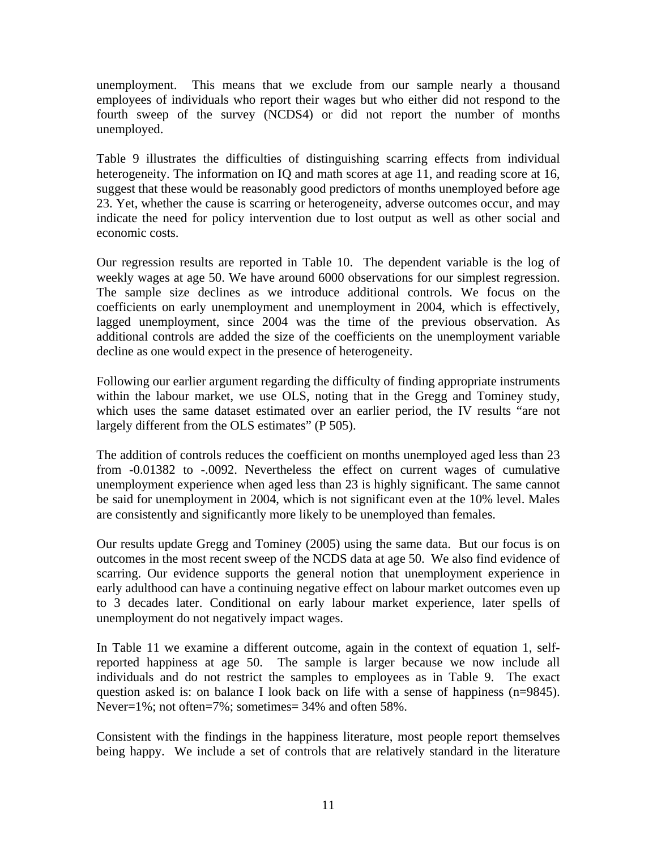unemployment. This means that we exclude from our sample nearly a thousand employees of individuals who report their wages but who either did not respond to the fourth sweep of the survey (NCDS4) or did not report the number of months unemployed.

Table 9 illustrates the difficulties of distinguishing scarring effects from individual heterogeneity. The information on IQ and math scores at age 11, and reading score at 16, suggest that these would be reasonably good predictors of months unemployed before age 23. Yet, whether the cause is scarring or heterogeneity, adverse outcomes occur, and may indicate the need for policy intervention due to lost output as well as other social and economic costs.

Our regression results are reported in Table 10. The dependent variable is the log of weekly wages at age 50. We have around 6000 observations for our simplest regression. The sample size declines as we introduce additional controls. We focus on the coefficients on early unemployment and unemployment in 2004, which is effectively, lagged unemployment, since 2004 was the time of the previous observation. As additional controls are added the size of the coefficients on the unemployment variable decline as one would expect in the presence of heterogeneity.

Following our earlier argument regarding the difficulty of finding appropriate instruments within the labour market, we use OLS, noting that in the Gregg and Tominey study, which uses the same dataset estimated over an earlier period, the IV results "are not largely different from the OLS estimates" (P 505).

The addition of controls reduces the coefficient on months unemployed aged less than 23 from -0.01382 to -.0092. Nevertheless the effect on current wages of cumulative unemployment experience when aged less than 23 is highly significant. The same cannot be said for unemployment in 2004, which is not significant even at the 10% level. Males are consistently and significantly more likely to be unemployed than females.

Our results update Gregg and Tominey (2005) using the same data. But our focus is on outcomes in the most recent sweep of the NCDS data at age 50. We also find evidence of scarring. Our evidence supports the general notion that unemployment experience in early adulthood can have a continuing negative effect on labour market outcomes even up to 3 decades later. Conditional on early labour market experience, later spells of unemployment do not negatively impact wages.

In Table 11 we examine a different outcome, again in the context of equation 1, selfreported happiness at age 50. The sample is larger because we now include all individuals and do not restrict the samples to employees as in Table 9. The exact question asked is: on balance I look back on life with a sense of happiness (n=9845). Never=1%; not often=7%; sometimes= 34% and often 58%.

Consistent with the findings in the happiness literature, most people report themselves being happy. We include a set of controls that are relatively standard in the literature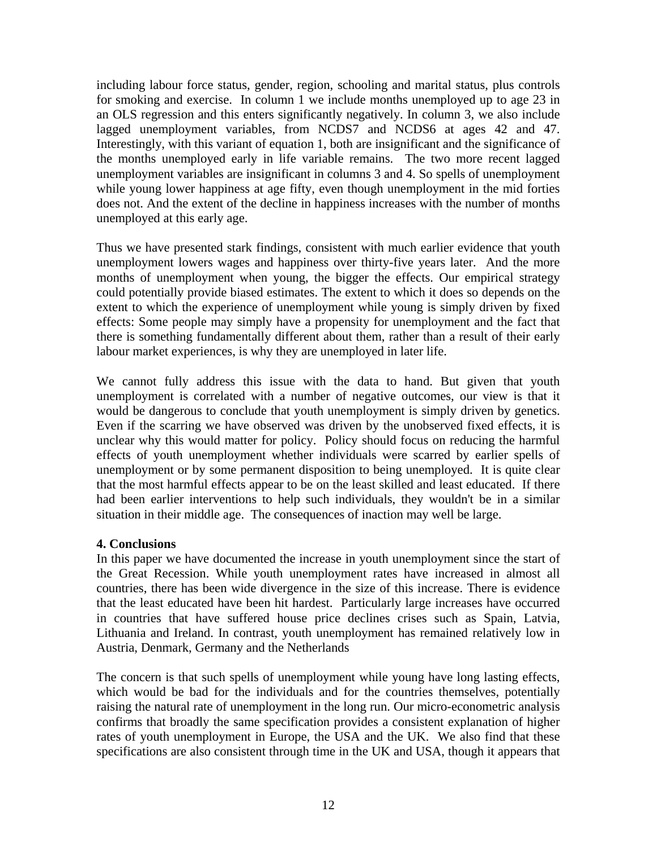including labour force status, gender, region, schooling and marital status, plus controls for smoking and exercise. In column 1 we include months unemployed up to age 23 in an OLS regression and this enters significantly negatively. In column 3, we also include lagged unemployment variables, from NCDS7 and NCDS6 at ages 42 and 47. Interestingly, with this variant of equation 1, both are insignificant and the significance of the months unemployed early in life variable remains. The two more recent lagged unemployment variables are insignificant in columns 3 and 4. So spells of unemployment while young lower happiness at age fifty, even though unemployment in the mid forties does not. And the extent of the decline in happiness increases with the number of months unemployed at this early age.

Thus we have presented stark findings, consistent with much earlier evidence that youth unemployment lowers wages and happiness over thirty-five years later. And the more months of unemployment when young, the bigger the effects. Our empirical strategy could potentially provide biased estimates. The extent to which it does so depends on the extent to which the experience of unemployment while young is simply driven by fixed effects: Some people may simply have a propensity for unemployment and the fact that there is something fundamentally different about them, rather than a result of their early labour market experiences, is why they are unemployed in later life.

We cannot fully address this issue with the data to hand. But given that youth unemployment is correlated with a number of negative outcomes, our view is that it would be dangerous to conclude that youth unemployment is simply driven by genetics. Even if the scarring we have observed was driven by the unobserved fixed effects, it is unclear why this would matter for policy. Policy should focus on reducing the harmful effects of youth unemployment whether individuals were scarred by earlier spells of unemployment or by some permanent disposition to being unemployed. It is quite clear that the most harmful effects appear to be on the least skilled and least educated. If there had been earlier interventions to help such individuals, they wouldn't be in a similar situation in their middle age. The consequences of inaction may well be large.

#### **4. Conclusions**

In this paper we have documented the increase in youth unemployment since the start of the Great Recession. While youth unemployment rates have increased in almost all countries, there has been wide divergence in the size of this increase. There is evidence that the least educated have been hit hardest. Particularly large increases have occurred in countries that have suffered house price declines crises such as Spain, Latvia, Lithuania and Ireland. In contrast, youth unemployment has remained relatively low in Austria, Denmark, Germany and the Netherlands

The concern is that such spells of unemployment while young have long lasting effects, which would be bad for the individuals and for the countries themselves, potentially raising the natural rate of unemployment in the long run. Our micro-econometric analysis confirms that broadly the same specification provides a consistent explanation of higher rates of youth unemployment in Europe, the USA and the UK. We also find that these specifications are also consistent through time in the UK and USA, though it appears that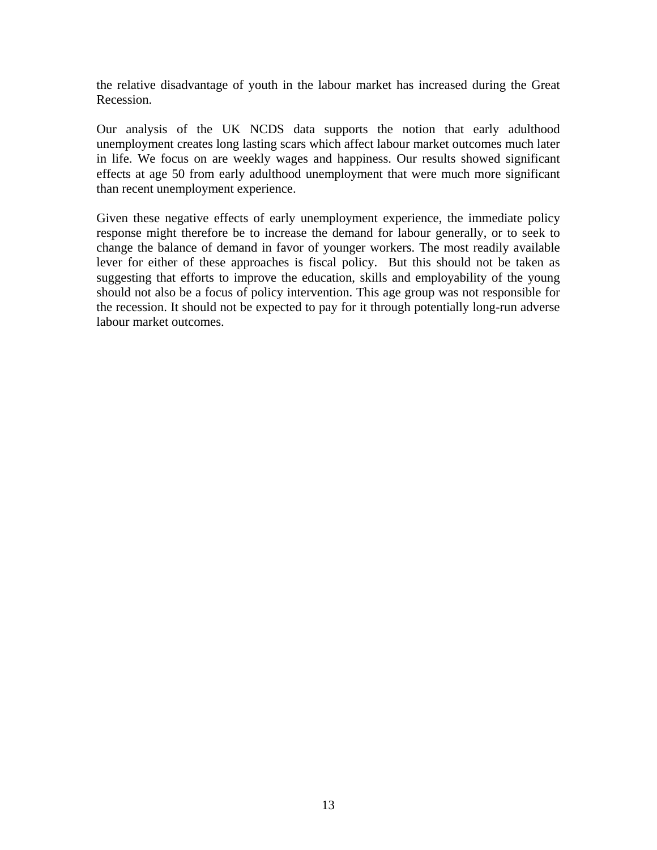the relative disadvantage of youth in the labour market has increased during the Great Recession.

Our analysis of the UK NCDS data supports the notion that early adulthood unemployment creates long lasting scars which affect labour market outcomes much later in life. We focus on are weekly wages and happiness. Our results showed significant effects at age 50 from early adulthood unemployment that were much more significant than recent unemployment experience.

Given these negative effects of early unemployment experience, the immediate policy response might therefore be to increase the demand for labour generally, or to seek to change the balance of demand in favor of younger workers. The most readily available lever for either of these approaches is fiscal policy. But this should not be taken as suggesting that efforts to improve the education, skills and employability of the young should not also be a focus of policy intervention. This age group was not responsible for the recession. It should not be expected to pay for it through potentially long-run adverse labour market outcomes.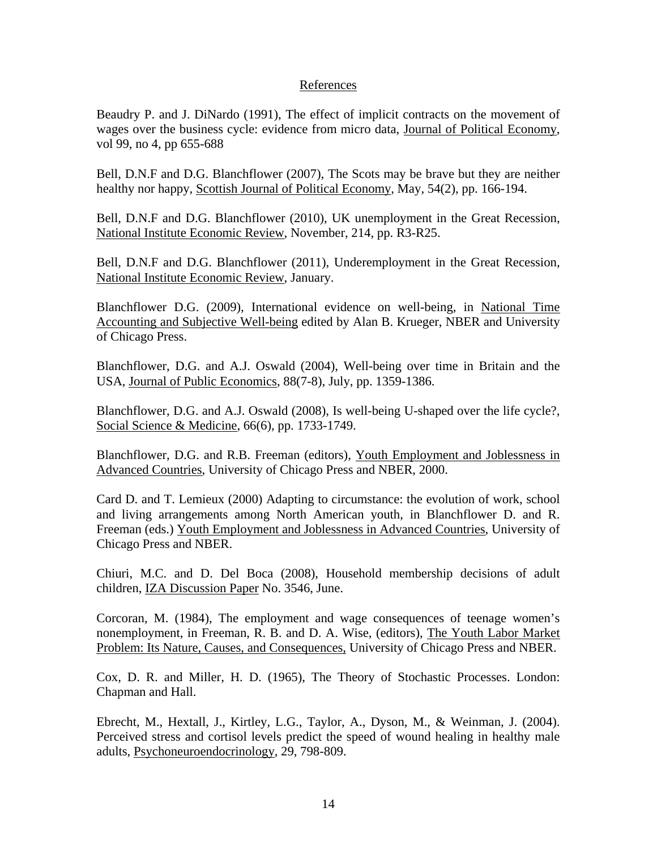#### References

Beaudry P. and J. DiNardo (1991), The effect of implicit contracts on the movement of wages over the business cycle: evidence from micro data, Journal of Political Economy, vol 99, no 4, pp 655-688

Bell, D.N.F and D.G. Blanchflower (2007), The Scots may be brave but they are neither healthy nor happy, Scottish Journal of Political Economy, May, 54(2), pp. 166-194.

Bell, D.N.F and D.G. Blanchflower (2010), UK unemployment in the Great Recession, National Institute Economic Review, November, 214, pp. R3-R25.

Bell, D.N.F and D.G. Blanchflower (2011), Underemployment in the Great Recession, National Institute Economic Review, January.

Blanchflower D.G. (2009), International evidence on well-being, in National Time Accounting and Subjective Well-being edited by Alan B. Krueger, NBER and University of Chicago Press.

Blanchflower, D.G. and A.J. Oswald (2004), Well-being over time in Britain and the USA, Journal of Public Economics, 88(7-8), July, pp. 1359-1386.

Blanchflower, D.G. and A.J. Oswald (2008), Is well-being U-shaped over the life cycle?, Social Science & Medicine, 66(6), pp. 1733-1749.

Blanchflower, D.G. and R.B. Freeman (editors), Youth Employment and Joblessness in Advanced Countries, University of Chicago Press and NBER, 2000.

Card D. and T. Lemieux (2000) Adapting to circumstance: the evolution of work, school and living arrangements among North American youth, in Blanchflower D. and R. Freeman (eds.) Youth Employment and Joblessness in Advanced Countries, University of Chicago Press and NBER.

Chiuri, M.C. and D. Del Boca (2008), Household membership decisions of adult children, IZA Discussion Paper No. 3546, June.

Corcoran, M. (1984), The employment and wage consequences of teenage women's nonemployment, in Freeman, R. B. and D. A. Wise, (editors), The Youth Labor Market Problem: Its Nature, Causes, and Consequences, University of Chicago Press and NBER.

Cox, D. R. and Miller, H. D. (1965), The Theory of Stochastic Processes. London: Chapman and Hall.

Ebrecht, M., Hextall, J., Kirtley, L.G., Taylor, A., Dyson, M., & Weinman, J. (2004). Perceived stress and cortisol levels predict the speed of wound healing in healthy male adults, Psychoneuroendocrinology, 29, 798-809.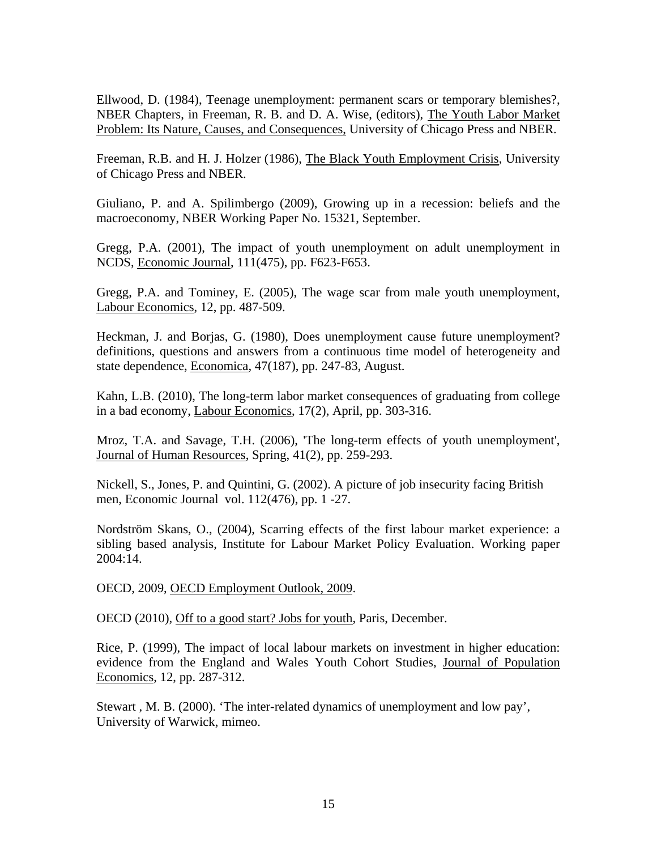Ellwood, D. (1984), Teenage unemployment: permanent scars or temporary blemishes?, NBER Chapters, in Freeman, R. B. and D. A. Wise, (editors), The Youth Labor Market Problem: Its Nature, Causes, and Consequences, University of Chicago Press and NBER.

Freeman, R.B. and H. J. Holzer (1986), The Black Youth Employment Crisis, University of Chicago Press and NBER.

Giuliano, P. and A. Spilimbergo (2009), Growing up in a recession: beliefs and the macroeconomy, NBER Working Paper No. 15321, September.

Gregg, P.A. (2001), The impact of youth unemployment on adult unemployment in NCDS, Economic Journal, 111(475), pp. F623-F653.

Gregg, P.A. and Tominey, E. (2005), The wage scar from male youth unemployment, Labour Economics, 12, pp. 487-509.

Heckman, J. and Borjas, G. (1980), Does unemployment cause future unemployment? definitions, questions and answers from a continuous time model of heterogeneity and state dependence, Economica, 47(187), pp. 247-83, August.

Kahn, L.B. (2010), The long-term labor market consequences of graduating from college in a bad economy, Labour Economics, 17(2), April, pp. 303-316.

Mroz, T.A. and Savage, T.H. (2006), 'The long-term effects of youth unemployment', Journal of Human Resources, Spring, 41(2), pp. 259-293.

Nickell, S., Jones, P. and Quintini, G. (2002). A picture of job insecurity facing British men, Economic Journal vol. 112(476), pp. 1 -27.

Nordström Skans, O., (2004), Scarring effects of the first labour market experience: a sibling based analysis, Institute for Labour Market Policy Evaluation. Working paper  $2004:14$ .

OECD, 2009, OECD Employment Outlook, 2009.

OECD (2010), Off to a good start? Jobs for youth, Paris, December.

Rice, P. (1999), The impact of local labour markets on investment in higher education: evidence from the England and Wales Youth Cohort Studies, Journal of Population Economics, 12, pp. 287-312.

Stewart , M. B. (2000). 'The inter-related dynamics of unemployment and low pay', University of Warwick, mimeo.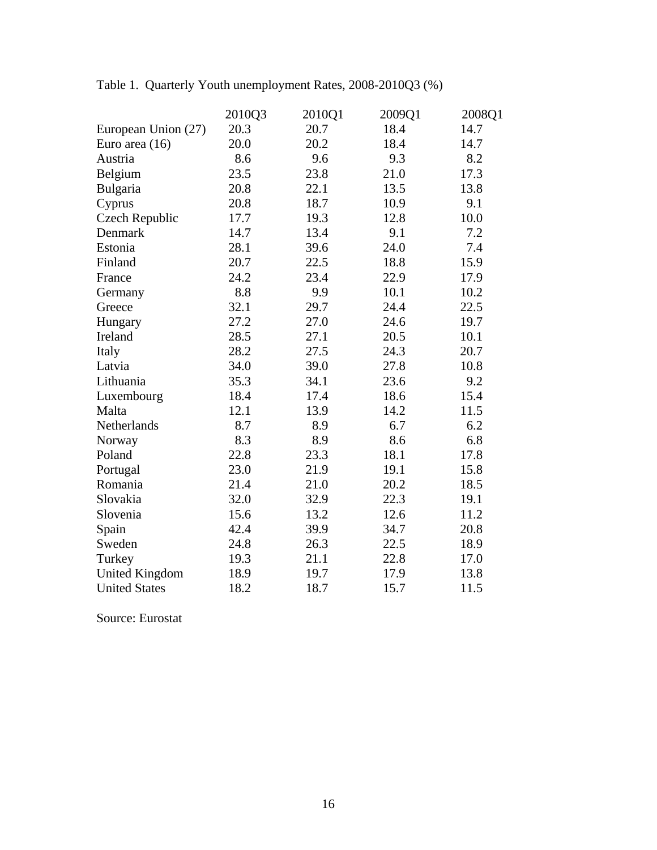|                       | 2010Q3 | 2010Q1 | 2009Q1 | 2008Q1 |
|-----------------------|--------|--------|--------|--------|
| European Union (27)   | 20.3   | 20.7   | 18.4   | 14.7   |
| Euro area (16)        | 20.0   | 20.2   | 18.4   | 14.7   |
| Austria               | 8.6    | 9.6    | 9.3    | 8.2    |
| Belgium               | 23.5   | 23.8   | 21.0   | 17.3   |
| Bulgaria              | 20.8   | 22.1   | 13.5   | 13.8   |
| Cyprus                | 20.8   | 18.7   | 10.9   | 9.1    |
| Czech Republic        | 17.7   | 19.3   | 12.8   | 10.0   |
| Denmark               | 14.7   | 13.4   | 9.1    | 7.2    |
| Estonia               | 28.1   | 39.6   | 24.0   | 7.4    |
| Finland               | 20.7   | 22.5   | 18.8   | 15.9   |
| France                | 24.2   | 23.4   | 22.9   | 17.9   |
| Germany               | 8.8    | 9.9    | 10.1   | 10.2   |
| Greece                | 32.1   | 29.7   | 24.4   | 22.5   |
| Hungary               | 27.2   | 27.0   | 24.6   | 19.7   |
| Ireland               | 28.5   | 27.1   | 20.5   | 10.1   |
| Italy                 | 28.2   | 27.5   | 24.3   | 20.7   |
| Latvia                | 34.0   | 39.0   | 27.8   | 10.8   |
| Lithuania             | 35.3   | 34.1   | 23.6   | 9.2    |
| Luxembourg            | 18.4   | 17.4   | 18.6   | 15.4   |
| Malta                 | 12.1   | 13.9   | 14.2   | 11.5   |
| Netherlands           | 8.7    | 8.9    | 6.7    | 6.2    |
| Norway                | 8.3    | 8.9    | 8.6    | 6.8    |
| Poland                | 22.8   | 23.3   | 18.1   | 17.8   |
| Portugal              | 23.0   | 21.9   | 19.1   | 15.8   |
| Romania               | 21.4   | 21.0   | 20.2   | 18.5   |
| Slovakia              | 32.0   | 32.9   | 22.3   | 19.1   |
| Slovenia              | 15.6   | 13.2   | 12.6   | 11.2   |
| Spain                 | 42.4   | 39.9   | 34.7   | 20.8   |
| Sweden                | 24.8   | 26.3   | 22.5   | 18.9   |
| Turkey                | 19.3   | 21.1   | 22.8   | 17.0   |
| <b>United Kingdom</b> | 18.9   | 19.7   | 17.9   | 13.8   |
| <b>United States</b>  | 18.2   | 18.7   | 15.7   | 11.5   |

Table 1. Quarterly Youth unemployment Rates, 2008-2010Q3 (%)

Source: Eurostat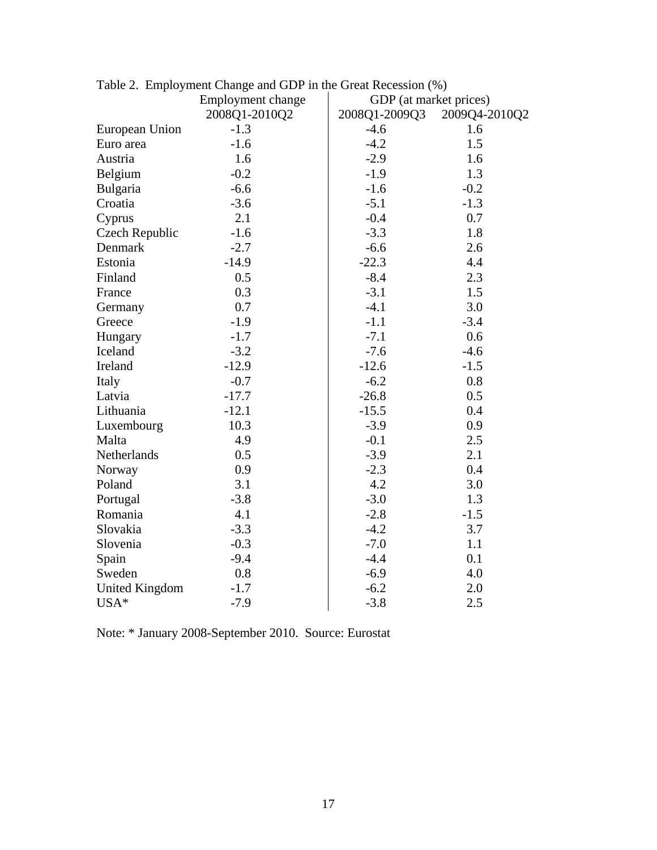|                       | Employment change | GDP (at market prices) |               |
|-----------------------|-------------------|------------------------|---------------|
|                       | 2008Q1-2010Q2     | 2008Q1-2009Q3          | 2009Q4-2010Q2 |
| European Union        | $-1.3$            | $-4.6$                 | 1.6           |
| Euro area             | $-1.6$            | $-4.2$                 | 1.5           |
| Austria               | 1.6               | $-2.9$                 | 1.6           |
| Belgium               | $-0.2$            | $-1.9$                 | 1.3           |
| Bulgaria              | $-6.6$            | $-1.6$                 | $-0.2$        |
| Croatia               | $-3.6$            | $-5.1$                 | $-1.3$        |
| Cyprus                | 2.1               | $-0.4$                 | 0.7           |
| Czech Republic        | $-1.6$            | $-3.3$                 | 1.8           |
| Denmark               | $-2.7$            | $-6.6$                 | 2.6           |
| Estonia               | $-14.9$           | $-22.3$                | 4.4           |
| Finland               | 0.5               | $-8.4$                 | 2.3           |
| France                | 0.3               | $-3.1$                 | 1.5           |
| Germany               | 0.7               | $-4.1$                 | 3.0           |
| Greece                | $-1.9$            | $-1.1$                 | $-3.4$        |
| Hungary               | $-1.7$            | $-7.1$                 | 0.6           |
| Iceland               | $-3.2$            | $-7.6$                 | $-4.6$        |
| Ireland               | $-12.9$           | $-12.6$                | $-1.5$        |
| Italy                 | $-0.7$            | $-6.2$                 | 0.8           |
| Latvia                | $-17.7$           | $-26.8$                | 0.5           |
| Lithuania             | $-12.1$           | $-15.5$                | 0.4           |
| Luxembourg            | 10.3              | $-3.9$                 | 0.9           |
| Malta                 | 4.9               | $-0.1$                 | 2.5           |
| Netherlands           | 0.5               | $-3.9$                 | 2.1           |
| Norway                | 0.9               | $-2.3$                 | 0.4           |
| Poland                | 3.1               | 4.2                    | 3.0           |
| Portugal              | $-3.8$            | $-3.0$                 | 1.3           |
| Romania               | 4.1               | $-2.8$                 | $-1.5$        |
| Slovakia              | $-3.3$            | $-4.2$                 | 3.7           |
| Slovenia              | $-0.3$            | $-7.0$                 | 1.1           |
| Spain                 | $-9.4$            | $-4.4$                 | 0.1           |
| Sweden                | 0.8               | $-6.9$                 | 4.0           |
| <b>United Kingdom</b> | $-1.7$            | $-6.2$                 | 2.0           |
| USA*                  | $-7.9$            | $-3.8$                 | 2.5           |

|  |  | Table 2. Employment Change and GDP in the Great Recession (%) |  |
|--|--|---------------------------------------------------------------|--|
|  |  |                                                               |  |

Note: \* January 2008-September 2010. Source: Eurostat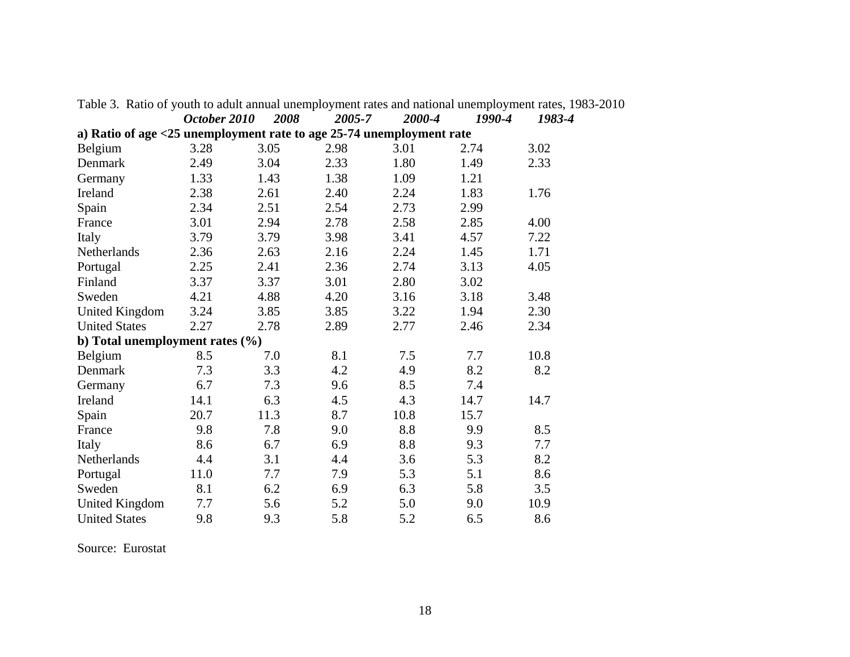|                                                                      | October 2010 | <i><b>2008</b></i> | 2005-7 | 2000-4 | 1990-4 | 1983-4 |
|----------------------------------------------------------------------|--------------|--------------------|--------|--------|--------|--------|
| a) Ratio of age <25 unemployment rate to age 25-74 unemployment rate |              |                    |        |        |        |        |
| Belgium                                                              | 3.28         | 3.05               | 2.98   | 3.01   | 2.74   | 3.02   |
| Denmark                                                              | 2.49         | 3.04               | 2.33   | 1.80   | 1.49   | 2.33   |
| Germany                                                              | 1.33         | 1.43               | 1.38   | 1.09   | 1.21   |        |
| Ireland                                                              | 2.38         | 2.61               | 2.40   | 2.24   | 1.83   | 1.76   |
| Spain                                                                | 2.34         | 2.51               | 2.54   | 2.73   | 2.99   |        |
| France                                                               | 3.01         | 2.94               | 2.78   | 2.58   | 2.85   | 4.00   |
| Italy                                                                | 3.79         | 3.79               | 3.98   | 3.41   | 4.57   | 7.22   |
| Netherlands                                                          | 2.36         | 2.63               | 2.16   | 2.24   | 1.45   | 1.71   |
| Portugal                                                             | 2.25         | 2.41               | 2.36   | 2.74   | 3.13   | 4.05   |
| Finland                                                              | 3.37         | 3.37               | 3.01   | 2.80   | 3.02   |        |
| Sweden                                                               | 4.21         | 4.88               | 4.20   | 3.16   | 3.18   | 3.48   |
| <b>United Kingdom</b>                                                | 3.24         | 3.85               | 3.85   | 3.22   | 1.94   | 2.30   |
| <b>United States</b>                                                 | 2.27         | 2.78               | 2.89   | 2.77   | 2.46   | 2.34   |
| b) Total unemployment rates (%)                                      |              |                    |        |        |        |        |
| Belgium                                                              | 8.5          | 7.0                | 8.1    | 7.5    | 7.7    | 10.8   |
| Denmark                                                              | 7.3          | 3.3                | 4.2    | 4.9    | 8.2    | 8.2    |
| Germany                                                              | 6.7          | 7.3                | 9.6    | 8.5    | 7.4    |        |
| Ireland                                                              | 14.1         | 6.3                | 4.5    | 4.3    | 14.7   | 14.7   |
| Spain                                                                | 20.7         | 11.3               | 8.7    | 10.8   | 15.7   |        |
| France                                                               | 9.8          | 7.8                | 9.0    | 8.8    | 9.9    | 8.5    |
| Italy                                                                | 8.6          | 6.7                | 6.9    | 8.8    | 9.3    | 7.7    |
| Netherlands                                                          | 4.4          | 3.1                | 4.4    | 3.6    | 5.3    | 8.2    |
| Portugal                                                             | 11.0         | 7.7                | 7.9    | 5.3    | 5.1    | 8.6    |
| Sweden                                                               | 8.1          | 6.2                | 6.9    | 6.3    | 5.8    | 3.5    |
| <b>United Kingdom</b>                                                | 7.7          | 5.6                | 5.2    | 5.0    | 9.0    | 10.9   |
| <b>United States</b>                                                 | 9.8          | 9.3                | 5.8    | 5.2    | 6.5    | 8.6    |

Table 3. Ratio of youth to adult annual unemployment rates and national unemployment rates, 1983-2010  *October 2010 2008 2005-7 2000-4 1990-4 1983-4* 

Source: Eurostat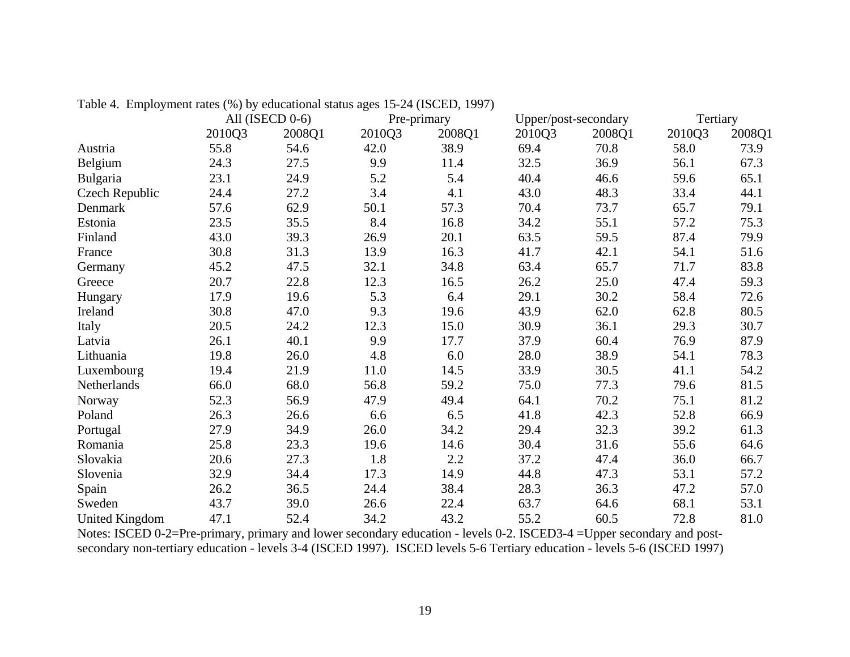|                       |        | All (ISECD 0-6) |        | Pre-primary | Upper/post-secondary |        | Tertiary |        |
|-----------------------|--------|-----------------|--------|-------------|----------------------|--------|----------|--------|
|                       | 2010Q3 | 2008Q1          | 2010Q3 | 2008Q1      | 2010Q3               | 2008Q1 | 2010Q3   | 2008Q1 |
| Austria               | 55.8   | 54.6            | 42.0   | 38.9        | 69.4                 | 70.8   | 58.0     | 73.9   |
| Belgium               | 24.3   | 27.5            | 9.9    | 11.4        | 32.5                 | 36.9   | 56.1     | 67.3   |
| Bulgaria              | 23.1   | 24.9            | 5.2    | 5.4         | 40.4                 | 46.6   | 59.6     | 65.1   |
| Czech Republic        | 24.4   | 27.2            | 3.4    | 4.1         | 43.0                 | 48.3   | 33.4     | 44.1   |
| Denmark               | 57.6   | 62.9            | 50.1   | 57.3        | 70.4                 | 73.7   | 65.7     | 79.1   |
| Estonia               | 23.5   | 35.5            | 8.4    | 16.8        | 34.2                 | 55.1   | 57.2     | 75.3   |
| Finland               | 43.0   | 39.3            | 26.9   | 20.1        | 63.5                 | 59.5   | 87.4     | 79.9   |
| France                | 30.8   | 31.3            | 13.9   | 16.3        | 41.7                 | 42.1   | 54.1     | 51.6   |
| Germany               | 45.2   | 47.5            | 32.1   | 34.8        | 63.4                 | 65.7   | 71.7     | 83.8   |
| Greece                | 20.7   | 22.8            | 12.3   | 16.5        | 26.2                 | 25.0   | 47.4     | 59.3   |
| Hungary               | 17.9   | 19.6            | 5.3    | 6.4         | 29.1                 | 30.2   | 58.4     | 72.6   |
| Ireland               | 30.8   | 47.0            | 9.3    | 19.6        | 43.9                 | 62.0   | 62.8     | 80.5   |
| Italy                 | 20.5   | 24.2            | 12.3   | 15.0        | 30.9                 | 36.1   | 29.3     | 30.7   |
| Latvia                | 26.1   | 40.1            | 9.9    | 17.7        | 37.9                 | 60.4   | 76.9     | 87.9   |
| Lithuania             | 19.8   | 26.0            | 4.8    | 6.0         | 28.0                 | 38.9   | 54.1     | 78.3   |
| Luxembourg            | 19.4   | 21.9            | 11.0   | 14.5        | 33.9                 | 30.5   | 41.1     | 54.2   |
| Netherlands           | 66.0   | 68.0            | 56.8   | 59.2        | 75.0                 | 77.3   | 79.6     | 81.5   |
| Norway                | 52.3   | 56.9            | 47.9   | 49.4        | 64.1                 | 70.2   | 75.1     | 81.2   |
| Poland                | 26.3   | 26.6            | 6.6    | 6.5         | 41.8                 | 42.3   | 52.8     | 66.9   |
| Portugal              | 27.9   | 34.9            | 26.0   | 34.2        | 29.4                 | 32.3   | 39.2     | 61.3   |
| Romania               | 25.8   | 23.3            | 19.6   | 14.6        | 30.4                 | 31.6   | 55.6     | 64.6   |
| Slovakia              | 20.6   | 27.3            | 1.8    | 2.2         | 37.2                 | 47.4   | 36.0     | 66.7   |
| Slovenia              | 32.9   | 34.4            | 17.3   | 14.9        | 44.8                 | 47.3   | 53.1     | 57.2   |
| Spain                 | 26.2   | 36.5            | 24.4   | 38.4        | 28.3                 | 36.3   | 47.2     | 57.0   |
| Sweden                | 43.7   | 39.0            | 26.6   | 22.4        | 63.7                 | 64.6   | 68.1     | 53.1   |
| <b>United Kingdom</b> | 47.1   | 52.4            | 34.2   | 43.2        | 55.2                 | 60.5   | 72.8     | 81.0   |

Table 4. Employment rates (%) by educational status ages 15-24 (ISCED, 1997)

Notes: ISCED 0-2=Pre-primary, primary and lower secondary education - levels 0-2. ISCED3-4 =Upper secondary and postsecondary non-tertiary education - levels 3-4 (ISCED 1997). ISCED levels 5-6 Tertiary education - levels 5-6 (ISCED 1997)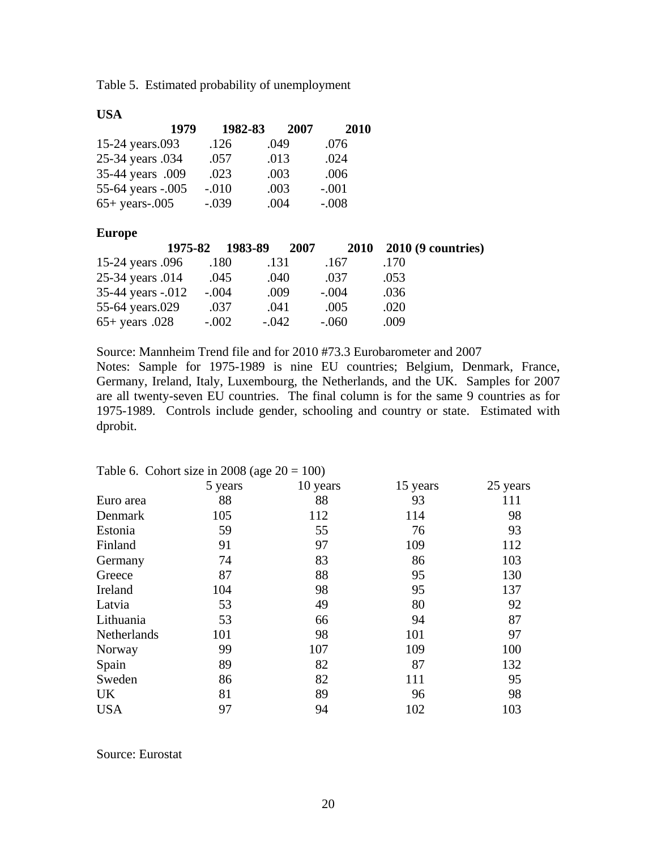Table 5. Estimated probability of unemployment

#### **USA**

|                   | 1979 | 1982-83 | 2007 | 2010    |
|-------------------|------|---------|------|---------|
| 15-24 years.093   |      | .126    | .049 | .076    |
| 25-34 years .034  |      | .057    | .013 | .024    |
| 35-44 years .009  |      | .023    | .003 | .006    |
| 55-64 years -.005 |      | $-.010$ | .003 | $-.001$ |
| $65+$ years-.005  |      | $-.039$ | .004 | $-.008$ |

#### **Europe**

|                          | 1975-82 1983-89 |              | 2007    |      | 2010 2010 (9 countries) |
|--------------------------|-----------------|--------------|---------|------|-------------------------|
| 15-24 years 0.096        |                 | .131<br>.180 | .167    | .170 |                         |
| 25-34 years .014         |                 | .045<br>.040 | .037    | .053 |                         |
| 35-44 years -.012        | $-.004$         | .009         | $-.004$ | .036 |                         |
| 55-64 years.029          |                 | .037<br>.041 | .005    | .020 |                         |
| $65 + \text{years}$ .028 | $-.002$         | $-.042$      | $-.060$ | .009 |                         |

Source: Mannheim Trend file and for 2010 #73.3 Eurobarometer and 2007 Notes: Sample for 1975-1989 is nine EU countries; Belgium, Denmark, France, Germany, Ireland, Italy, Luxembourg, the Netherlands, and the UK. Samples for 2007 are all twenty-seven EU countries. The final column is for the same 9 countries as for 1975-1989. Controls include gender, schooling and country or state. Estimated with dprobit.

|             | rable 0. Conort size in 2000 (age $20 - 100$ ) |          |          |          |
|-------------|------------------------------------------------|----------|----------|----------|
|             | 5 years                                        | 10 years | 15 years | 25 years |
| Euro area   | 88                                             | 88       | 93       | 111      |
| Denmark     | 105                                            | 112      | 114      | 98       |
| Estonia     | 59                                             | 55       | 76       | 93       |
| Finland     | 91                                             | 97       | 109      | 112      |
| Germany     | 74                                             | 83       | 86       | 103      |
| Greece      | 87                                             | 88       | 95       | 130      |
| Ireland     | 104                                            | 98       | 95       | 137      |
| Latvia      | 53                                             | 49       | 80       | 92       |
| Lithuania   | 53                                             | 66       | 94       | 87       |
| Netherlands | 101                                            | 98       | 101      | 97       |
| Norway      | 99                                             | 107      | 109      | 100      |
| Spain       | 89                                             | 82       | 87       | 132      |
| Sweden      | 86                                             | 82       | 111      | 95       |
| UK          | 81                                             | 89       | 96       | 98       |
| <b>USA</b>  | 97                                             | 94       | 102      | 103      |

#### Table 6. Cohort size in 2008 (age  $20 - 100$ )

Source: Eurostat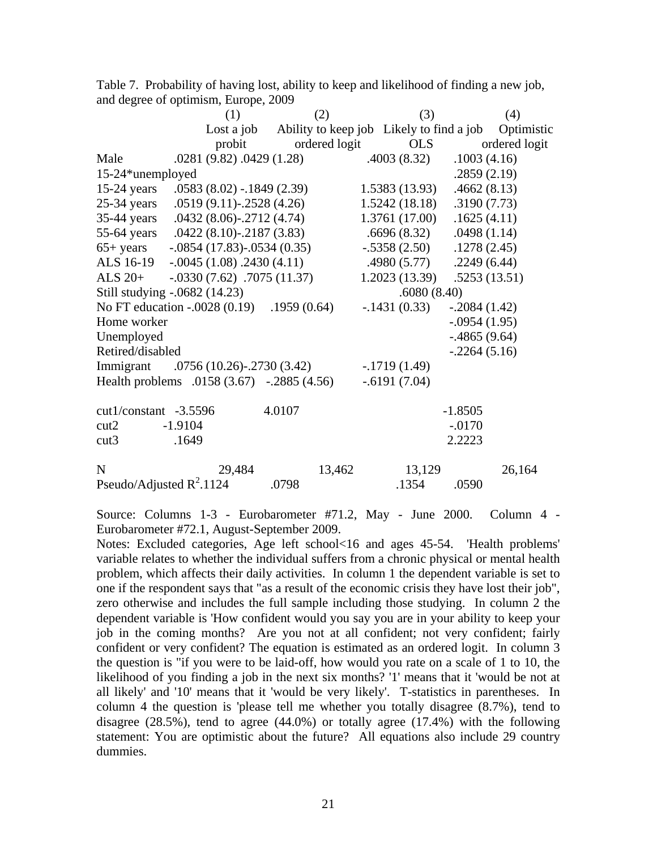|                             | (1)                                        | (2)           | (3)            | (4)                                                            |
|-----------------------------|--------------------------------------------|---------------|----------------|----------------------------------------------------------------|
|                             |                                            |               |                | Lost a job Ability to keep job Likely to find a job Optimistic |
|                             | probit                                     | ordered logit | OLS            | ordered logit                                                  |
| Male                        | .0281 (9.82) .0429 (1.28)                  |               | .4003(8.32)    | .1003(4.16)                                                    |
| 15-24*unemployed            |                                            |               |                | .2859(2.19)                                                    |
| $15-24$ years               | $.0583(8.02) - .1849(2.39)$                |               | 1.5383(13.93)  | .4662(8.13)                                                    |
| $25-34$ years               | $.0519(9.11)$ - $.2528(4.26)$              |               | 1.5242(18.18)  | .3190(7.73)                                                    |
| $35-44$ years               | $.0432(8.06)$ - $.2712(4.74)$              |               | 1.3761(17.00)  | .1625(4.11)                                                    |
| $55-64$ years               | $.0422(8.10)$ -.2187 (3.83)                |               | .6696(8.32)    | .0498(1.14)                                                    |
| $65+$ years                 | $-0.0854(17.83) - 0.0534(0.35)$            |               | $-.5358(2.50)$ | .1278(2.45)                                                    |
| ALS 16-19                   | $-0.0045(1.08)$ . 2430 (4.11)              |               | .4980(5.77)    | .2249(6.44)                                                    |
| ALS $20+$                   | $-.0330(7.62)$ . 7075 (11.37)              |               | 1.2023(13.39)  | .5253(13.51)                                                   |
|                             | Still studying -.0682 (14.23)              |               | .6080(8.40)    |                                                                |
|                             | No FT education -.0028 (0.19) .1959 (0.64) |               | $-.1431(0.33)$ | $-.2084(1.42)$                                                 |
| Home worker                 |                                            |               |                | $-.0954(1.95)$                                                 |
| Unemployed                  |                                            |               |                | $-.4865(9.64)$                                                 |
| Retired/disabled            |                                            |               |                | $-.2264(5.16)$                                                 |
| Immigrant                   | $.0756(10.26)$ - $.2730(3.42)$             |               | $-.1719(1.49)$ |                                                                |
|                             | Health problems .0158 (3.67) -.2885 (4.56) |               | $-.6191(7.04)$ |                                                                |
|                             |                                            |               |                |                                                                |
| $cut1$ /constant -3.5596    |                                            | 4.0107        |                | $-1.8505$                                                      |
| cut2                        | $-1.9104$                                  |               |                | $-.0170$                                                       |
| cut3                        | .1649                                      |               |                | 2.2223                                                         |
|                             |                                            |               |                |                                                                |
| N                           | 29,484                                     | 13,462        | 13,129         | 26,164                                                         |
| Pseudo/Adjusted $R^2$ .1124 |                                            | .0798         | .1354          | .0590                                                          |

Table 7. Probability of having lost, ability to keep and likelihood of finding a new job, and degree of optimism, Europe, 2009

Source: Columns 1-3 - Eurobarometer #71.2, May - June 2000. Column 4 - Eurobarometer #72.1, August-September 2009.

Notes: Excluded categories, Age left school<16 and ages 45-54. 'Health problems' variable relates to whether the individual suffers from a chronic physical or mental health problem, which affects their daily activities. In column 1 the dependent variable is set to one if the respondent says that "as a result of the economic crisis they have lost their job", zero otherwise and includes the full sample including those studying. In column 2 the dependent variable is 'How confident would you say you are in your ability to keep your job in the coming months? Are you not at all confident; not very confident; fairly confident or very confident? The equation is estimated as an ordered logit. In column 3 the question is "if you were to be laid-off, how would you rate on a scale of 1 to 10, the likelihood of you finding a job in the next six months? '1' means that it 'would be not at all likely' and '10' means that it 'would be very likely'. T-statistics in parentheses. In column 4 the question is 'please tell me whether you totally disagree (8.7%), tend to disagree (28.5%), tend to agree (44.0%) or totally agree (17.4%) with the following statement: You are optimistic about the future? All equations also include 29 country dummies.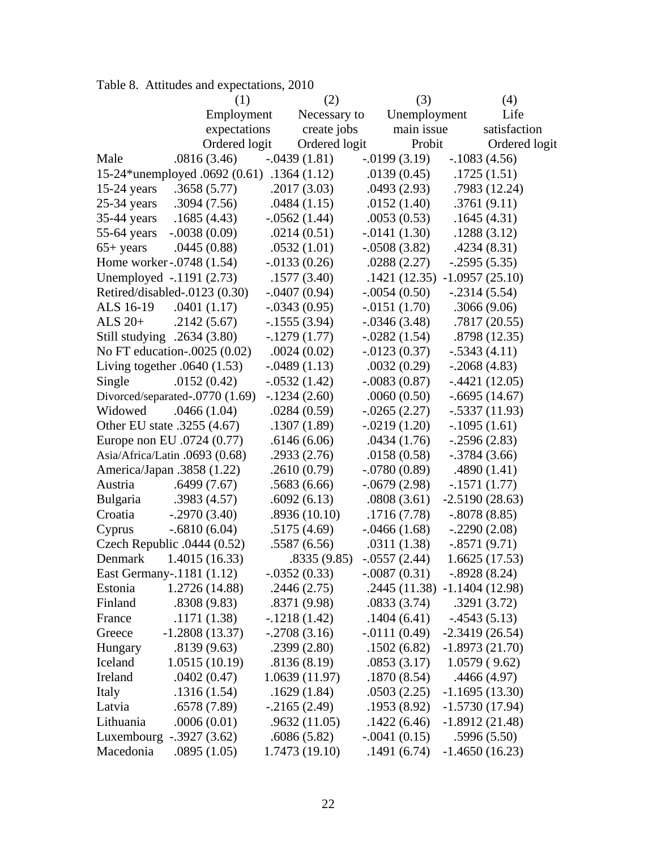|                                            | (1)              | (2)             | (3)                           | (4)              |
|--------------------------------------------|------------------|-----------------|-------------------------------|------------------|
|                                            | Employment       | Necessary to    | Unemployment                  | Life             |
|                                            | expectations     | create jobs     | main issue                    | satisfaction     |
|                                            | Ordered logit    | Ordered logit   | Probit                        | Ordered logit    |
| Male                                       | .0816(3.46)      | $-.0439(1.81)$  | $-0.0199(3.19)$               | $-.1083(4.56)$   |
| 15-24*unemployed .0692 (0.61) .1364 (1.12) |                  |                 | .0139(0.45)                   | .1725(1.51)      |
| $15-24$ years                              | .3658(5.77)      | .2017(3.03)     | .0493(2.93)                   | .7983 (12.24)    |
| $25-34$ years                              | .3094(7.56)      | .0484(1.15)     | .0152(1.40)                   | .3761(9.11)      |
| $35-44$ years                              | .1685(4.43)      | $-.0562(1.44)$  | .0053(0.53)                   | .1645(4.31)      |
| $55-64$ years                              | $-.0038(0.09)$   | .0214(0.51)     | $-.0141(1.30)$                | .1288(3.12)      |
| $65+$ years                                | .0445(0.88)      | .0532(1.01)     | $-.0508(3.82)$                | .4234(8.31)      |
| Home worker - 0748 (1.54)                  |                  | $-0.0133(0.26)$ | .0288(2.27)                   | $-.2595(5.35)$   |
| Unemployed -.1191 (2.73)                   |                  | .1577(3.40)     | .1421(12.35)                  | $-1.0957(25.10)$ |
| Retired/disabled-.0123 (0.30)              |                  | $-.0407(0.94)$  | $-.0054(0.50)$                | $-.2314(5.54)$   |
| ALS 16-19                                  | .0401(1.17)      | $-.0343(0.95)$  | $-0.0151(1.70)$               | .3066(9.06)      |
| ALS $20+$                                  | .2142(5.67)      | $-.1555(3.94)$  | $-.0346(3.48)$                | .7817(20.55)     |
| Still studying .2634 (3.80)                |                  | $-1279(1.77)$   | $-.0282(1.54)$                | .8798(12.35)     |
| No FT education-.0025 (0.02)               |                  | .0024(0.02)     | $-0.0123(0.37)$               | $-.5343(4.11)$   |
| Living together $.0640(1.53)$              |                  | $-.0489(1.13)$  | .0032(0.29)                   | $-.2068(4.83)$   |
| Single                                     | .0152(0.42)      | $-.0532(1.42)$  | $-.0083(0.87)$                | $-.4421(12.05)$  |
| Divorced/separated-.0770 (1.69)            |                  | $-.1234(2.60)$  | .0060(0.50)                   | $-.6695(14.67)$  |
| Widowed                                    | .0466(1.04)      | .0284(0.59)     | $-.0265(2.27)$                | $-.5337(11.93)$  |
| Other EU state .3255 (4.67)                |                  | .1307(1.89)     | $-.0219(1.20)$                | $-.1095(1.61)$   |
| Europe non EU .0724 (0.77)                 |                  | .6146(6.06)     | .0434(1.76)                   | $-0.2596(2.83)$  |
| Asia/Africa/Latin .0693 (0.68)             |                  | .2933(2.76)     | .0158(0.58)                   | $-.3784(3.66)$   |
| America/Japan .3858 (1.22)                 |                  | .2610(0.79)     | $-.0780(0.89)$                | .4890(1.41)      |
| Austria                                    | .6499(7.67)      | .5683(6.66)     | $-0.0679(2.98)$               | $-.1571(1.77)$   |
| Bulgaria                                   | .3983(4.57)      | .6092(6.13)     | .0808(3.61)                   | $-2.5190(28.63)$ |
| Croatia                                    | $-.2970(3.40)$   | .8936(10.10)    | .1716(7.78)                   | $-.8078(8.85)$   |
| Cyprus                                     | $-.6810(6.04)$   | .5175(4.69)     | $-.0466(1.68)$                | $-.2290(2.08)$   |
| Czech Republic $.0444(0.52)$               |                  | .5587(6.56)     | .0311(1.38)                   | $-.8571(9.71)$   |
| Denmark                                    | 1.4015(16.33)    | .8335(9.85)     | $-.0557(2.44)$                | 1.6625(17.53)    |
| East Germany-.1181 (1.12)                  |                  | $-.0352(0.33)$  | $-.0087(0.31)$                | $-.8928(8.24)$   |
| Estonia                                    | 1.2726 (14.88)   | .2446(2.75)     | .2445 (11.38) -1.1404 (12.98) |                  |
| Finland                                    | .8308(9.83)      | .8371(9.98)     | .0833(3.74)                   | .3291(3.72)      |
| France                                     | .1171(1.38)      | $-.1218(1.42)$  | .1404(6.41)                   | $-4543(5.13)$    |
| Greece                                     | $-1.2808(13.37)$ | $-.2708(3.16)$  | $-0111(0.49)$                 | $-2.3419(26.54)$ |
| Hungary                                    | .8139(9.63)      | .2399(2.80)     | .1502(6.82)                   | $-1.8973(21.70)$ |
| Iceland                                    | 1.0515(10.19)    | .8136(8.19)     | .0853(3.17)                   | 1.0579(9.62)     |
| Ireland                                    | .0402(0.47)      | 1.0639(11.97)   | .1870(8.54)                   | .4466(4.97)      |
| Italy                                      | .1316(1.54)      | .1629(1.84)     | .0503(2.25)                   | $-1.1695(13.30)$ |
| Latvia                                     | .6578 (7.89)     | $-2165(2.49)$   | .1953 (8.92)                  | $-1.5730(17.94)$ |
| Lithuania                                  | .0006(0.01)      | .9632(11.05)    | .1422(6.46)                   | $-1.8912(21.48)$ |
| Luxembourg -.3927 (3.62)                   |                  | .6086(5.82)     | $-.0041(0.15)$                | .5996(5.50)      |
| Macedonia                                  | .0895(1.05)      | 1.7473(19.10)   | .1491(6.74)                   | $-1.4650(16.23)$ |

|  | Table 8. Attitudes and expectations, 2010 |  |  |
|--|-------------------------------------------|--|--|
|--|-------------------------------------------|--|--|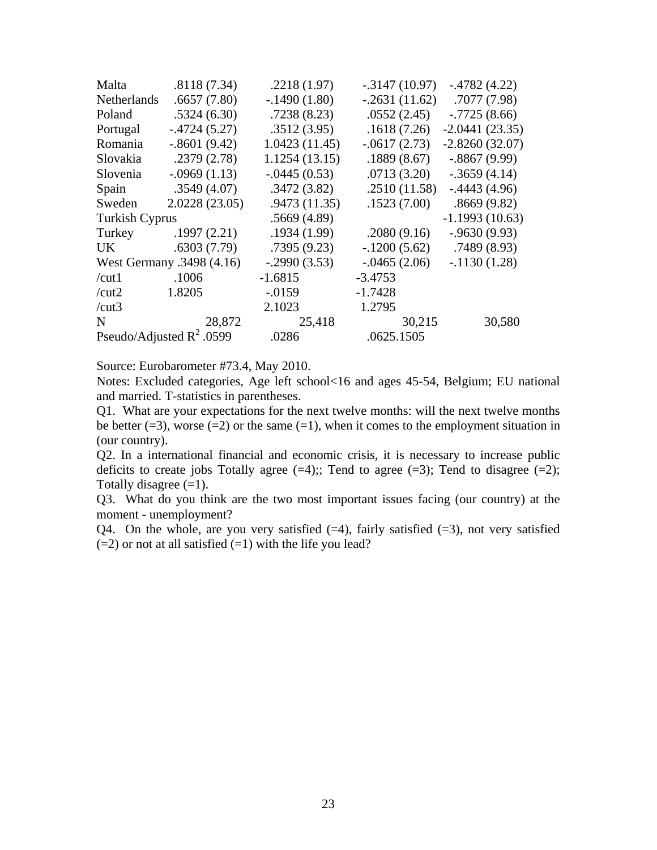| Malta                 | .8118(7.34)                 | .2218(1.97)    | $-0.3147(10.97)$ | $-.4782(4.22)$   |
|-----------------------|-----------------------------|----------------|------------------|------------------|
| Netherlands           | .6657(7.80)                 | $-.1490(1.80)$ | $-.2631(11.62)$  | .7077(7.98)      |
| Poland                | .5324(6.30)                 | .7238(8.23)    | .0552(2.45)      | $-.7725(8.66)$   |
| Portugal              | $-4724(5.27)$               | .3512(3.95)    | .1618(7.26)      | $-2.0441(23.35)$ |
| Romania               | $-.8601(9.42)$              | 1.0423(11.45)  | $-.0617(2.73)$   | $-2.8260(32.07)$ |
| Slovakia              | .2379(2.78)                 | 1.1254(13.15)  | .1889(8.67)      | $-.8867(9.99)$   |
| Slovenia              | $-.0969(1.13)$              | $-.0445(0.53)$ | .0713(3.20)      | $-.3659(4.14)$   |
| Spain                 | .3549(4.07)                 | .3472(3.82)    | .2510(11.58)     | $-0.4443(4.96)$  |
| Sweden                | 2.0228(23.05)               | .9473(11.35)   | .1523(7.00)      | .8669(9.82)      |
| <b>Turkish Cyprus</b> |                             | .5669(4.89)    |                  | $-1.1993(10.63)$ |
| Turkey                | .1997(2.21)                 | .1934(1.99)    | .2080(9.16)      | $-0.9630(9.93)$  |
| UK.                   | .6303(7.79)                 | .7395(9.23)    | $-1200(5.62)$    | .7489(8.93)      |
|                       | West Germany .3498 (4.16)   | $-.2990(3.53)$ | $-.0465(2.06)$   | $-1130(1.28)$    |
| /cut1                 | .1006                       | $-1.6815$      | $-3.4753$        |                  |
| /cut2                 | 1.8205                      | $-.0159$       | $-1.7428$        |                  |
| /cut3                 |                             | 2.1023         | 1.2795           |                  |
| N                     | 28,872                      | 25,418         | 30,215           | 30,580           |
|                       | Pseudo/Adjusted $R^2$ .0599 | .0286          | .0625.1505       |                  |

Source: Eurobarometer #73.4, May 2010.

Notes: Excluded categories, Age left school<16 and ages 45-54, Belgium; EU national and married. T-statistics in parentheses.

Q1. What are your expectations for the next twelve months: will the next twelve months be better  $(=3)$ , worse  $(=2)$  or the same  $(=1)$ , when it comes to the employment situation in (our country).

Q2. In a international financial and economic crisis, it is necessary to increase public deficits to create jobs Totally agree  $(=4)$ ; Tend to agree  $(=3)$ ; Tend to disagree  $(=2)$ ; Totally disagree  $(=1)$ .

Q3. What do you think are the two most important issues facing (our country) at the moment - unemployment?

Q4. On the whole, are you very satisfied  $(=4)$ , fairly satisfied  $(=3)$ , not very satisfied  $(=2)$  or not at all satisfied  $(=1)$  with the life you lead?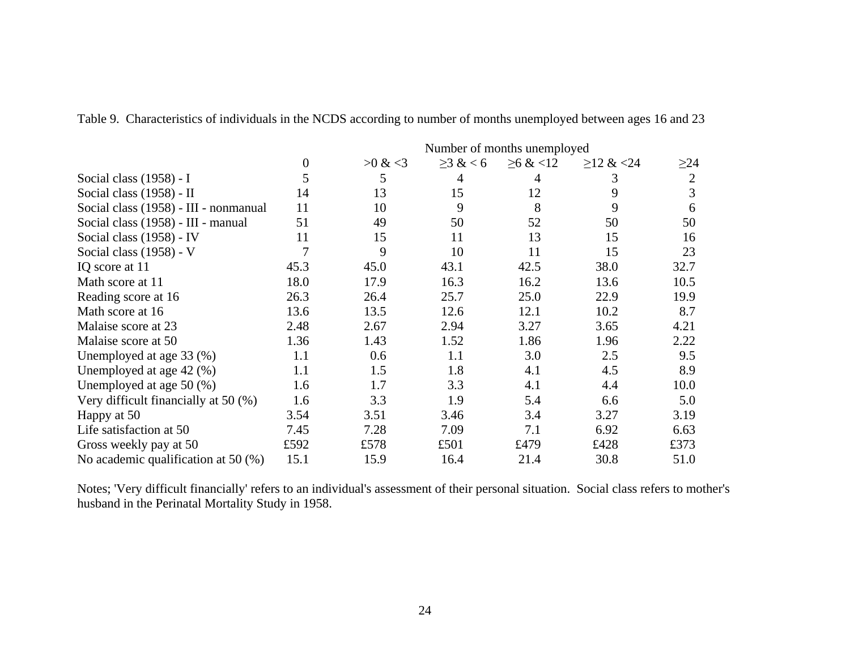|                                         | Number of months unemployed |               |                |                |                 |                |  |
|-----------------------------------------|-----------------------------|---------------|----------------|----------------|-----------------|----------------|--|
|                                         | $\theta$                    | $>0 \& 0 < 3$ | $\geq$ 3 & < 6 | $\geq 6 \< 12$ | $\geq$ 12 & <24 | $\geq$ 24      |  |
| Social class (1958) - I                 | 5                           | 5             | 4              | 4              | 3               | $\overline{2}$ |  |
| Social class (1958) - II                | 14                          | 13            | 15             | 12             | 9               | 3              |  |
| Social class (1958) - III - nonmanual   | 11                          | 10            | 9              | 8              | 9               | 6              |  |
| Social class (1958) - III - manual      | 51                          | 49            | 50             | 52             | 50              | 50             |  |
| Social class (1958) - IV                | 11                          | 15            | 11             | 13             | 15              | 16             |  |
| Social class (1958) - V                 | 7                           | 9             | 10             | 11             | 15              | 23             |  |
| IQ score at 11                          | 45.3                        | 45.0          | 43.1           | 42.5           | 38.0            | 32.7           |  |
| Math score at 11                        | 18.0                        | 17.9          | 16.3           | 16.2           | 13.6            | 10.5           |  |
| Reading score at 16                     | 26.3                        | 26.4          | 25.7           | 25.0           | 22.9            | 19.9           |  |
| Math score at 16                        | 13.6                        | 13.5          | 12.6           | 12.1           | 10.2            | 8.7            |  |
| Malaise score at 23                     | 2.48                        | 2.67          | 2.94           | 3.27           | 3.65            | 4.21           |  |
| Malaise score at 50                     | 1.36                        | 1.43          | 1.52           | 1.86           | 1.96            | 2.22           |  |
| Unemployed at age 33 (%)                | 1.1                         | 0.6           | 1.1            | 3.0            | 2.5             | 9.5            |  |
| Unemployed at age $42$ (%)              | 1.1                         | 1.5           | 1.8            | 4.1            | 4.5             | 8.9            |  |
| Unemployed at age $50$ (%)              | 1.6                         | 1.7           | 3.3            | 4.1            | 4.4             | 10.0           |  |
| Very difficult financially at $50\,(%)$ | 1.6                         | 3.3           | 1.9            | 5.4            | 6.6             | 5.0            |  |
| Happy at 50                             | 3.54                        | 3.51          | 3.46           | 3.4            | 3.27            | 3.19           |  |
| Life satisfaction at 50                 | 7.45                        | 7.28          | 7.09           | 7.1            | 6.92            | 6.63           |  |
| Gross weekly pay at 50                  | £592                        | £578          | £501           | £479           | £428            | £373           |  |
| No academic qualification at 50 $(\%)$  | 15.1                        | 15.9          | 16.4           | 21.4           | 30.8            | 51.0           |  |

Table 9. Characteristics of individuals in the NCDS according to number of months unemployed between ages 16 and 23

Notes; 'Very difficult financially' refers to an individual's assessment of their personal situation. Social class refers to mother's husband in the Perinatal Mortality Study in 1958.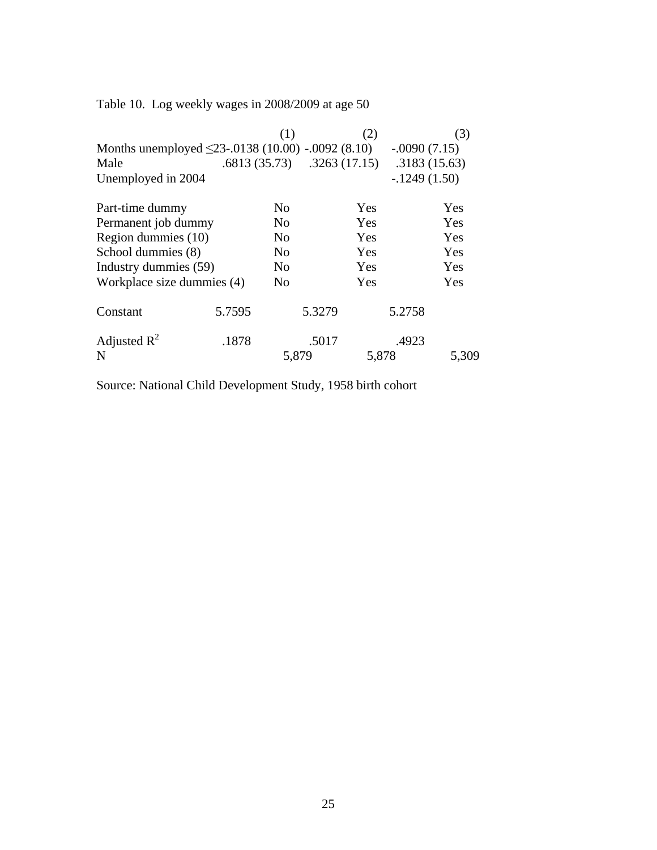Table 10. Log weekly wages in 2008/2009 at age 50

|                                                         |        | (1)            |                               | (2)   |                | (3)        |
|---------------------------------------------------------|--------|----------------|-------------------------------|-------|----------------|------------|
| Months unemployed $\leq$ 23-.0138 (10.00) -.0092 (8.10) |        |                |                               |       | $-.0090(7.15)$ |            |
| Male                                                    |        |                | $.6813(35.73)$ $.3263(17.15)$ |       | .3183(15.63)   |            |
| Unemployed in 2004                                      |        |                |                               |       | $-1249(1.50)$  |            |
| Part-time dummy                                         |        | No             |                               | Yes   |                | <b>Yes</b> |
| Permanent job dummy                                     |        | N <sub>0</sub> |                               | Yes   |                | Yes        |
| Region dummies (10)                                     |        | N <sub>o</sub> |                               | Yes   |                | Yes        |
| School dummies (8)                                      |        | N <sub>o</sub> |                               | Yes   |                | Yes        |
| Industry dummies (59)                                   |        | No             |                               | Yes   |                | Yes        |
| Workplace size dummies (4)                              |        | N <sub>o</sub> |                               | Yes   |                | Yes        |
| Constant                                                | 5.7595 |                | 5.3279                        |       | 5.2758         |            |
| Adjusted $R^2$                                          | .1878  |                | .5017                         |       | .4923          |            |
| N                                                       |        | 5,879          |                               | 5,878 |                | 5,309      |

Source: National Child Development Study, 1958 birth cohort